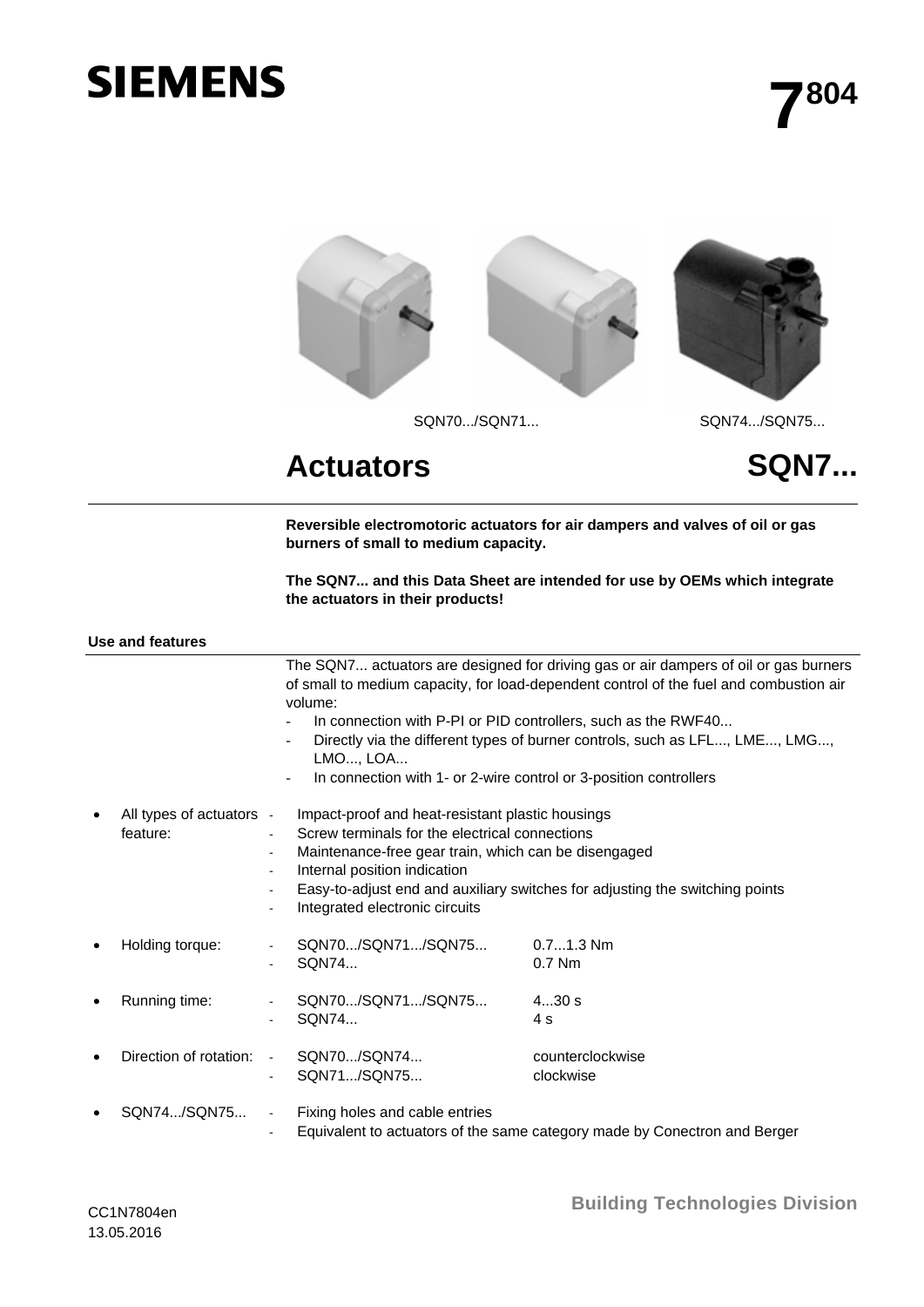# **SIEMENS**



## Actuators SQN7...

**Reversible electromotoric actuators for air dampers and valves of oil or gas burners of small to medium capacity.** 

**The SQN7... and this Data Sheet are intended for use by OEMs which integrate the actuators in their products!** 

| <b>Use and features</b> |  |
|-------------------------|--|
|-------------------------|--|

|           |                          |                 | volume:<br>In connection with P-PI or PID controllers, such as the RWF40 | The SQN7 actuators are designed for driving gas or air dampers of oil or gas burners<br>of small to medium capacity, for load-dependent control of the fuel and combustion air<br>Directly via the different types of burner controls, such as LFL, LME, LMG, |  |  |  |  |
|-----------|--------------------------|-----------------|--------------------------------------------------------------------------|---------------------------------------------------------------------------------------------------------------------------------------------------------------------------------------------------------------------------------------------------------------|--|--|--|--|
|           |                          |                 | LMO, LOA                                                                 |                                                                                                                                                                                                                                                               |  |  |  |  |
|           |                          |                 | In connection with 1- or 2-wire control or 3-position controllers        |                                                                                                                                                                                                                                                               |  |  |  |  |
|           | All types of actuators - |                 | Impact-proof and heat-resistant plastic housings                         |                                                                                                                                                                                                                                                               |  |  |  |  |
|           | feature:                 |                 | Screw terminals for the electrical connections                           |                                                                                                                                                                                                                                                               |  |  |  |  |
|           |                          |                 | Maintenance-free gear train, which can be disengaged                     |                                                                                                                                                                                                                                                               |  |  |  |  |
|           |                          |                 | Internal position indication                                             |                                                                                                                                                                                                                                                               |  |  |  |  |
|           |                          |                 | Integrated electronic circuits                                           | Easy-to-adjust end and auxiliary switches for adjusting the switching points                                                                                                                                                                                  |  |  |  |  |
| ٠         | Holding torque:          |                 | SQN70/SQN71/SQN75                                                        | $0.71.3$ Nm                                                                                                                                                                                                                                                   |  |  |  |  |
|           |                          |                 | SQN74                                                                    | $0.7$ Nm                                                                                                                                                                                                                                                      |  |  |  |  |
|           |                          |                 |                                                                          |                                                                                                                                                                                                                                                               |  |  |  |  |
|           | Running time:            |                 | SQN70/SQN71/SQN75                                                        | 430s                                                                                                                                                                                                                                                          |  |  |  |  |
|           |                          |                 | SQN74                                                                    | 4 s                                                                                                                                                                                                                                                           |  |  |  |  |
| $\bullet$ | Direction of rotation:   | $\sim 10^{-11}$ | SQN70/SQN74                                                              | counterclockwise                                                                                                                                                                                                                                              |  |  |  |  |
|           |                          | $\blacksquare$  | SQN71/SQN75                                                              | clockwise                                                                                                                                                                                                                                                     |  |  |  |  |
|           | SQN74/SQN75              | $\blacksquare$  | Fixing holes and cable entries                                           |                                                                                                                                                                                                                                                               |  |  |  |  |
|           |                          |                 |                                                                          | Equivalent to actuators of the same category made by Conectron and Berger                                                                                                                                                                                     |  |  |  |  |

CC1N7804en 13.05.2016

**Building Technologies Division**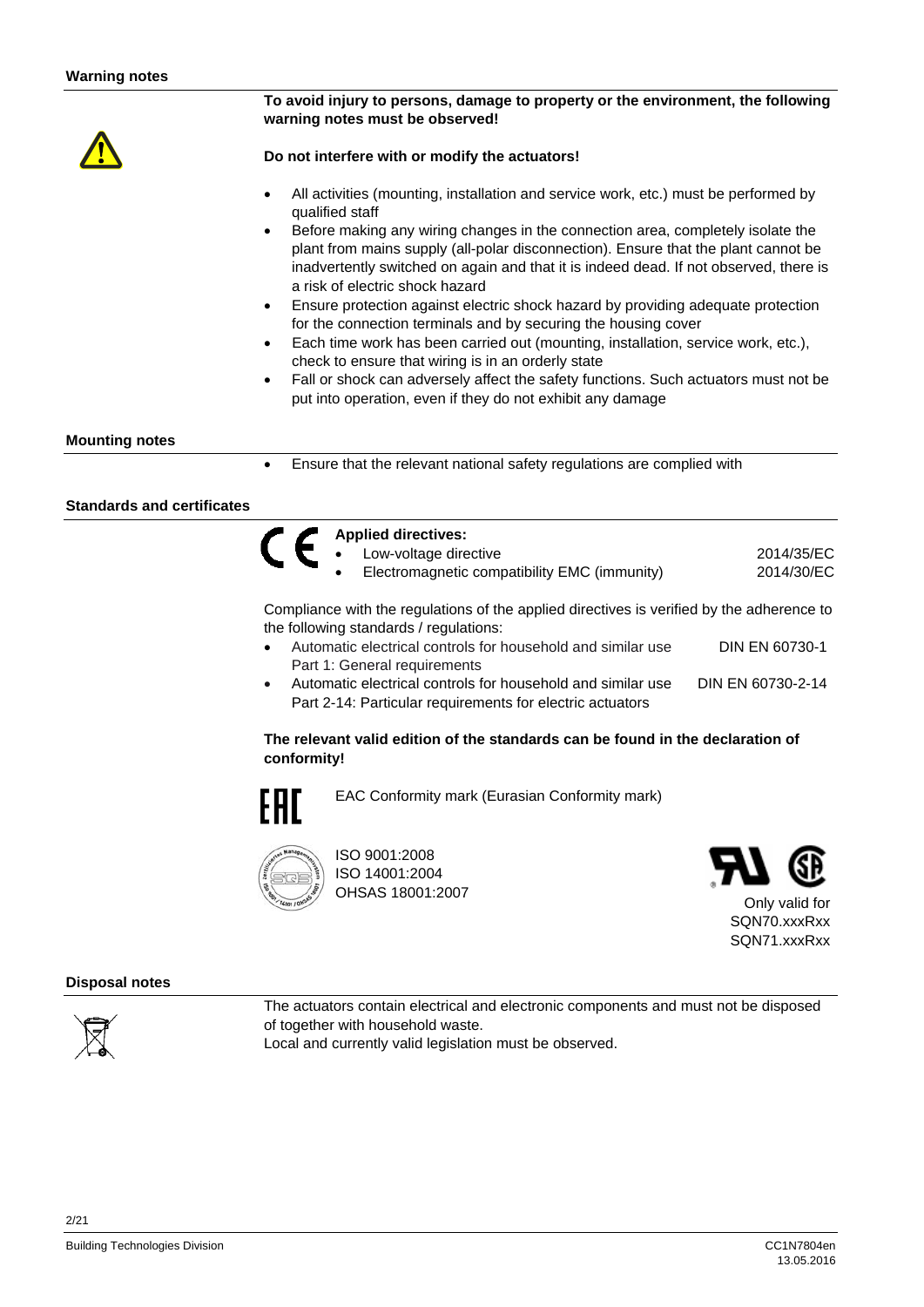#### **To avoid injury to persons, damage to property or the environment, the following warning notes must be observed!**

#### **Do not interfere with or modify the actuators!**

- All activities (mounting, installation and service work, etc.) must be performed by qualified staff
- Before making any wiring changes in the connection area, completely isolate the plant from mains supply (all-polar disconnection). Ensure that the plant cannot be inadvertently switched on again and that it is indeed dead. If not observed, there is a risk of electric shock hazard
- Ensure protection against electric shock hazard by providing adequate protection for the connection terminals and by securing the housing cover
- Each time work has been carried out (mounting, installation, service work, etc.), check to ensure that wiring is in an orderly state
- Fall or shock can adversely affect the safety functions. Such actuators must not be put into operation, even if they do not exhibit any damage

#### **Mounting notes**

Ensure that the relevant national safety regulations are complied with

#### **Standards and certificates**

| Applied directives:                                                                       |            |
|-------------------------------------------------------------------------------------------|------------|
| Low-voltage directive                                                                     | 2014/35/EC |
| Electromagnetic compatibility EMC (immunity)                                              | 2014/30/EC |
| Compliance with the requistions of the applied directives is verified by the adherence to |            |

Compliance with the regulations of the applied directives is verified by the adherence to the following standards / regulations:

- Automatic electrical controls for household and similar use Part 1: General requirements DIN EN 60730-1
- Automatic electrical controls for household and similar use Part 2-14: Particular requirements for electric actuators DIN EN 60730-2-14

#### **The relevant valid edition of the standards can be found in the declaration of conformity!**



EAC Conformity mark (Eurasian Conformity mark)



ISO 9001:2008 ISO 14001:2004 OHSAS 18001:2007



Only valid for SQN70.xxxRxx SQN71.xxxRxx

#### **Disposal notes**



2/21

The actuators contain electrical and electronic components and must not be disposed of together with household waste. Local and currently valid legislation must be observed.

Building Technologies Division CC1N7804en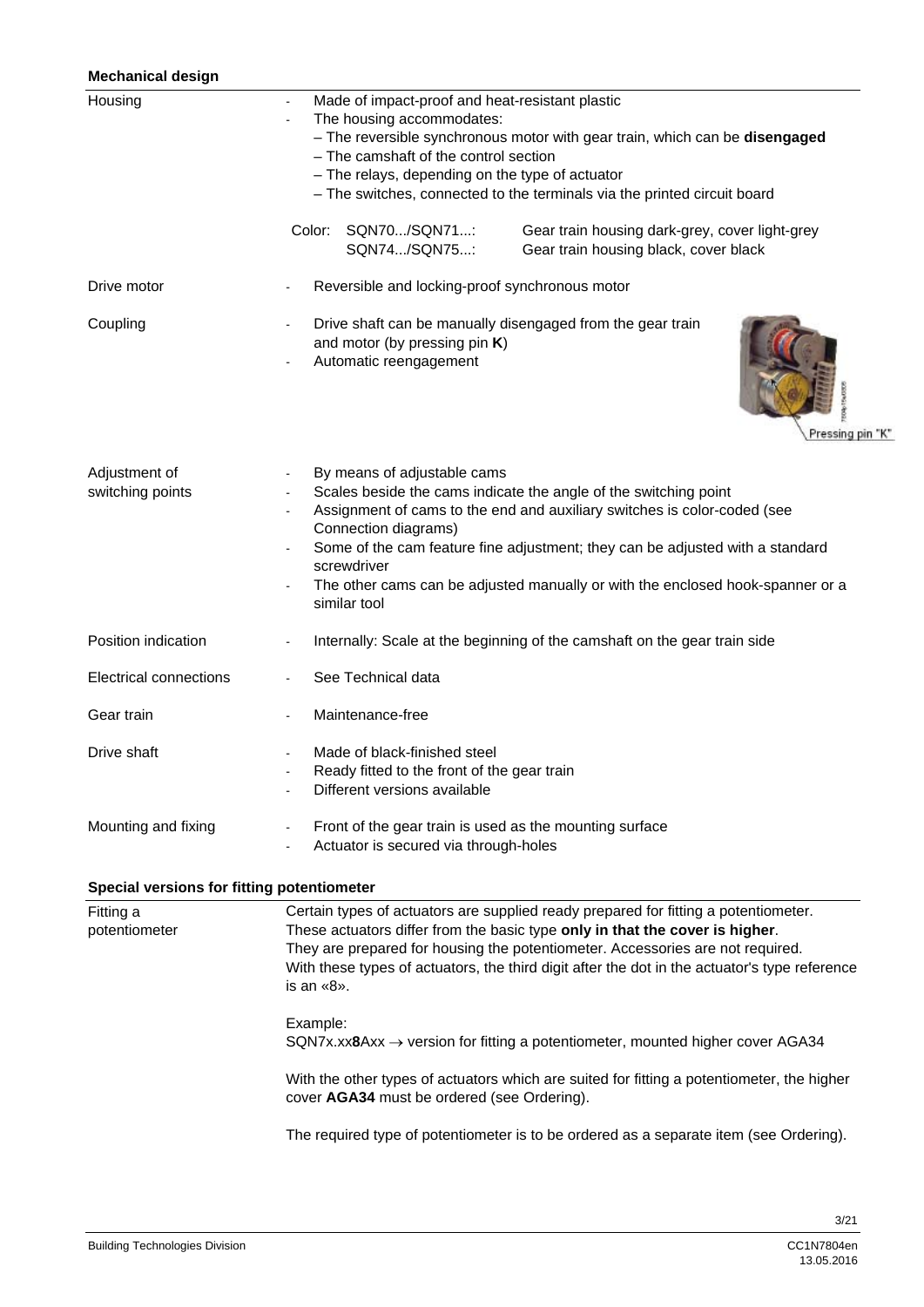#### **Mechanical design**

| Housing                | Made of impact-proof and heat-resistant plastic                                                                                           |  |  |  |  |  |  |  |  |
|------------------------|-------------------------------------------------------------------------------------------------------------------------------------------|--|--|--|--|--|--|--|--|
|                        | The housing accommodates:<br>- The reversible synchronous motor with gear train, which can be disengaged                                  |  |  |  |  |  |  |  |  |
|                        |                                                                                                                                           |  |  |  |  |  |  |  |  |
|                        | - The camshaft of the control section                                                                                                     |  |  |  |  |  |  |  |  |
|                        | - The relays, depending on the type of actuator                                                                                           |  |  |  |  |  |  |  |  |
|                        | - The switches, connected to the terminals via the printed circuit board                                                                  |  |  |  |  |  |  |  |  |
|                        | SQN70/SQN71:<br>Color:<br>Gear train housing dark-grey, cover light-grey<br>SQN74/SQN75:<br>Gear train housing black, cover black         |  |  |  |  |  |  |  |  |
| Drive motor            | Reversible and locking-proof synchronous motor                                                                                            |  |  |  |  |  |  |  |  |
| Coupling               | Drive shaft can be manually disengaged from the gear train<br>and motor (by pressing pin K)<br>Automatic reengagement<br>Pressing pin "K" |  |  |  |  |  |  |  |  |
| Adjustment of          | By means of adjustable cams                                                                                                               |  |  |  |  |  |  |  |  |
| switching points       | Scales beside the cams indicate the angle of the switching point                                                                          |  |  |  |  |  |  |  |  |
|                        | Assignment of cams to the end and auxiliary switches is color-coded (see<br>Connection diagrams)                                          |  |  |  |  |  |  |  |  |
|                        | Some of the cam feature fine adjustment; they can be adjusted with a standard<br>screwdriver                                              |  |  |  |  |  |  |  |  |
|                        | The other cams can be adjusted manually or with the enclosed hook-spanner or a<br>similar tool                                            |  |  |  |  |  |  |  |  |
| Position indication    | Internally: Scale at the beginning of the camshaft on the gear train side                                                                 |  |  |  |  |  |  |  |  |
| Electrical connections | See Technical data                                                                                                                        |  |  |  |  |  |  |  |  |
| Gear train             | Maintenance-free                                                                                                                          |  |  |  |  |  |  |  |  |
| Drive shaft            | Made of black-finished steel                                                                                                              |  |  |  |  |  |  |  |  |
|                        | Ready fitted to the front of the gear train<br>$\sim$<br>Different versions available                                                     |  |  |  |  |  |  |  |  |
| Mounting and fixing    | Front of the gear train is used as the mounting surface<br>Actuator is secured via through-holes                                          |  |  |  |  |  |  |  |  |

### **Special versions for fitting potentiometer**

| Fitting a<br>potentiometer | Certain types of actuators are supplied ready prepared for fitting a potentiometer.<br>These actuators differ from the basic type only in that the cover is higher.<br>They are prepared for housing the potentiometer. Accessories are not required.<br>With these types of actuators, the third digit after the dot in the actuator's type reference<br>is an «8». |
|----------------------------|----------------------------------------------------------------------------------------------------------------------------------------------------------------------------------------------------------------------------------------------------------------------------------------------------------------------------------------------------------------------|
|                            | Example:<br>$SQN7x.xx8Axx \rightarrow$ version for fitting a potentiometer, mounted higher cover AGA34                                                                                                                                                                                                                                                               |
|                            | With the other types of actuators which are suited for fitting a potentiometer, the higher<br>cover AGA34 must be ordered (see Ordering).                                                                                                                                                                                                                            |
|                            | The required type of potentiometer is to be ordered as a separate item (see Ordering).                                                                                                                                                                                                                                                                               |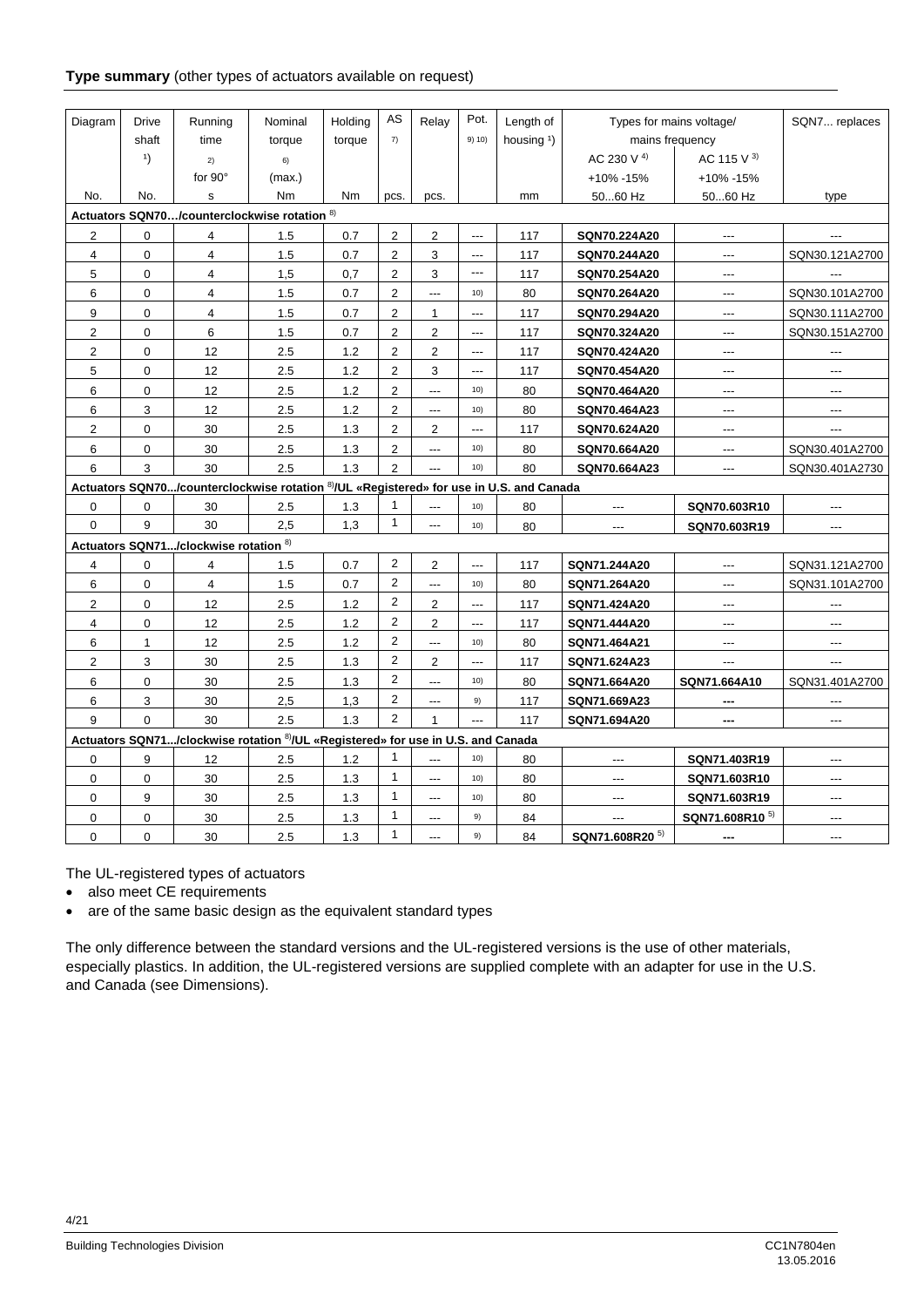#### **Type summary** (other types of actuators available on request)

| Diagram        | <b>Drive</b> | Running                               | Nominal                                                                                 | Holding | AS             | Relay          | Pot.           | Length of              | Types for mains voltage/   |                            | SQN7 replaces  |
|----------------|--------------|---------------------------------------|-----------------------------------------------------------------------------------------|---------|----------------|----------------|----------------|------------------------|----------------------------|----------------------------|----------------|
|                | shaft        | time                                  | torque                                                                                  | torque  | 7)             |                | 9) 10)         | housing <sup>1</sup> ) | mains frequency            |                            |                |
|                | 1)           | 2)                                    | 6)                                                                                      |         |                |                |                |                        | AC 230 V 4)                | AC 115 V $3)$              |                |
|                |              | for $90^\circ$                        | (max.)                                                                                  |         |                |                |                |                        | +10% -15%                  | +10% -15%                  |                |
| No.            | No.          | s                                     | Nm                                                                                      | Nm      | pcs.           | pcs.           |                | mm                     | 5060 Hz                    | 5060 Hz                    | type           |
|                |              |                                       | Actuators SQN70/counterclockwise rotation <sup>8)</sup>                                 |         |                |                |                |                        |                            |                            |                |
| 2              | 0            | 4                                     | 1.5                                                                                     | 0.7     | $\overline{2}$ | 2              | $\overline{a}$ | 117                    | SQN70.224A20               | $\overline{a}$             |                |
| $\overline{4}$ | 0            | 4                                     | 1.5                                                                                     | 0.7     | $\overline{2}$ | 3              | ---            | 117                    | SQN70.244A20               | ---                        | SQN30.121A2700 |
| 5              | 0            | 4                                     | 1.5                                                                                     | 0.7     | $\overline{2}$ | 3              | ---            | 117                    | SQN70.254A20               | $---$                      |                |
| 6              | $\pmb{0}$    | $\overline{4}$                        | 1.5                                                                                     | 0.7     | $\overline{c}$ | $\overline{a}$ | 10)            | 80                     | SQN70.264A20               | $---$                      | SQN30.101A2700 |
| 9              | 0            | $\overline{4}$                        | 1.5                                                                                     | 0.7     | $\overline{2}$ | $\mathbf{1}$   | ---            | 117                    | SQN70.294A20               | ---                        | SQN30.111A2700 |
| 2              | 0            | 6                                     | 1.5                                                                                     | 0.7     | $\overline{2}$ | $\overline{2}$ | ---            | 117                    | SQN70.324A20               | ---                        | SQN30.151A2700 |
| 2              | 0            | 12                                    | 2.5                                                                                     | 1.2     | $\mathbf 2$    | $\overline{2}$ | $\overline{a}$ | 117                    | SQN70.424A20               | $---$                      | $---$          |
| 5              | 0            | 12                                    | 2.5                                                                                     | 1.2     | $\overline{c}$ | 3              | $\overline{a}$ | 117                    | SQN70.454A20               | $---$                      | $---$          |
| 6              | 0            | 12                                    | 2.5                                                                                     | 1.2     | 2              | $\overline{a}$ | 10)            | 80                     | SQN70.464A20               | $---$                      | $\sim$         |
| 6              | 3            | 12                                    | 2.5                                                                                     | 1.2     | 2              | ---            | 10)            | 80                     | SQN70.464A23               | ---                        | $---$          |
| 2              | 0            | 30                                    | 2.5                                                                                     | 1.3     | 2              | 2              | $---$          | 117                    | SQN70.624A20               | ---                        | $---$          |
| 6              | 0            | 30                                    | 2.5                                                                                     | 1.3     | 2              | ---            | 10)            | 80                     | SQN70.664A20               | ---                        | SQN30.401A2700 |
| 6              | 3            | 30                                    | 2.5                                                                                     | 1.3     | $\overline{c}$ | $\overline{a}$ | 10)            | 80                     | SQN70.664A23               | $---$                      | SQN30.401A2730 |
|                |              |                                       | Actuators SQN70/counterclockwise rotation 8)/UL «Registered» for use in U.S. and Canada |         |                |                |                |                        |                            |                            |                |
| $\mathbf 0$    | 0            | 30                                    | 2.5                                                                                     | 1.3     | 1              | ---            | 10)            | 80                     | $---$                      | SQN70.603R10               | $---$          |
| $\Omega$       | 9            | 30                                    | 2,5                                                                                     | 1,3     | $\mathbf{1}$   | ---            | 10)            | 80                     | ---                        | SQN70.603R19               | $---$          |
|                |              | Actuators SQN71/clockwise rotation 8) |                                                                                         |         |                |                |                |                        |                            |                            |                |
| 4              | 0            | $\overline{\mathbf{4}}$               | 1.5                                                                                     | 0.7     | $\overline{2}$ | $\overline{2}$ | $\overline{a}$ | 117                    | SQN71.244A20               | $---$                      | SQN31.121A2700 |
| 6              | 0            | 4                                     | 1.5                                                                                     | 0.7     | $\overline{2}$ | $\overline{a}$ | 10)            | 80                     | SQN71.264A20               | ---                        | SQN31.101A2700 |
| 2              | 0            | 12                                    | 2.5                                                                                     | 1.2     | $\overline{2}$ | 2              | $---$          | 117                    | SQN71.424A20               | ---                        | $---$          |
| $\overline{4}$ | 0            | 12                                    | 2.5                                                                                     | 1.2     | $\overline{2}$ | $\overline{2}$ | $---$          | 117                    | SQN71.444A20               | $---$                      | $---$          |
| 6              | $\mathbf{1}$ | 12                                    | 2.5                                                                                     | 1.2     | $\overline{2}$ | $\overline{a}$ | 10)            | 80                     | SQN71.464A21               | $---$                      | $---$          |
| $\overline{2}$ | 3            | 30                                    | 2.5                                                                                     | 1.3     | 2              | $\overline{2}$ | $---$          | 117                    | SQN71.624A23               | ---                        | $---$          |
| 6              | 0            | 30                                    | 2.5                                                                                     | 1.3     | $\overline{2}$ | ---            | 10)            | 80                     | SQN71.664A20               | SQN71.664A10               | SQN31.401A2700 |
| 6              | 3            | 30                                    | 2,5                                                                                     | 1,3     | $\overline{2}$ | ---            | 9)             | 117                    | SQN71.669A23               | ---                        | ---            |
| 9              | $\Omega$     | 30                                    | 2.5                                                                                     | 1.3     | 2              | $\mathbf{1}$   | $\overline{a}$ | 117                    | SQN71.694A20               | $\frac{1}{2}$              | $---$          |
|                |              |                                       | Actuators SQN71/clockwise rotation 8/UL «Registered» for use in U.S. and Canada         |         |                |                |                |                        |                            |                            |                |
| 0              | 9            | 12                                    | 2.5                                                                                     | 1.2     | $\mathbf{1}$   | $---$          | 10)            | 80                     | ---                        | SQN71.403R19               |                |
| $\mathbf 0$    | 0            | 30                                    | 2.5                                                                                     | 1.3     | $\mathbf{1}$   | ---            | 10)            | 80                     | ---                        | SQN71.603R10               | $---$          |
| $\mathbf 0$    | 9            | 30                                    | 2.5                                                                                     | 1.3     | $\mathbf{1}$   | ---            | 10)            | 80                     | ---                        | SQN71.603R19               | ---            |
| $\mathbf 0$    | 0            | 30                                    | 2.5                                                                                     | 1.3     | $\mathbf{1}$   | $---$          | 9)             | 84                     | $\overline{a}$             | SQN71.608R10 <sup>5)</sup> | $---$          |
| $\Omega$       | 0            | 30                                    | 2.5                                                                                     | 1.3     | $\mathbf{1}$   | $\overline{a}$ | 9)             | 84                     | SQN71.608R20 <sup>5)</sup> | ---                        | $---$          |

The UL-registered types of actuators

• also meet CE requirements

• are of the same basic design as the equivalent standard types

The only difference between the standard versions and the UL-registered versions is the use of other materials, especially plastics. In addition, the UL-registered versions are supplied complete with an adapter for use in the U.S. and Canada (see Dimensions).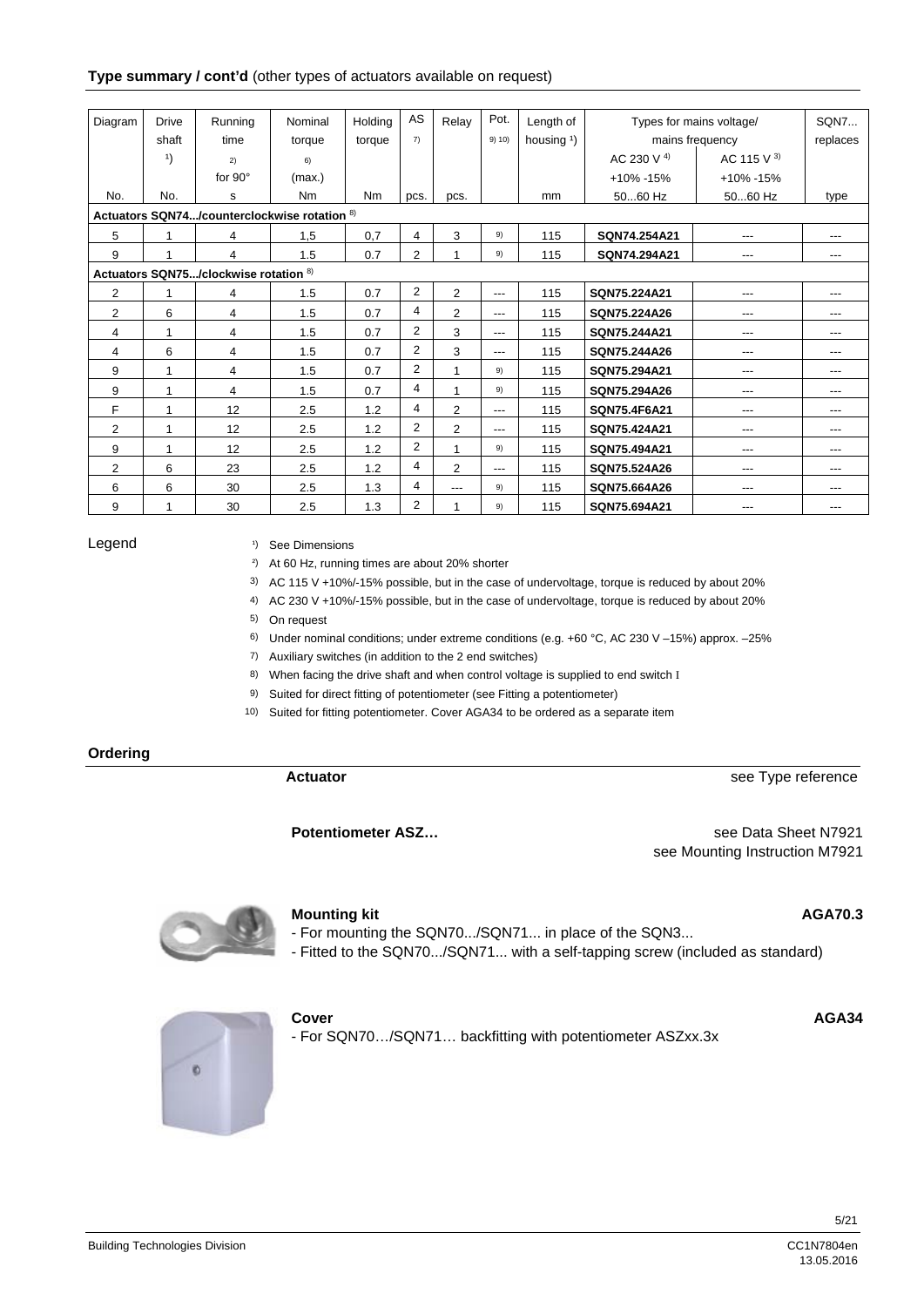#### **Type summary / cont'd** (other types of actuators available on request)

| Diagram        | <b>Drive</b> | Running                               | Nominal                                      | Holding   | AS             | Relay          | Pot.   | Length of             | Types for mains voltage/ |                 | <b>SON7</b> |
|----------------|--------------|---------------------------------------|----------------------------------------------|-----------|----------------|----------------|--------|-----------------------|--------------------------|-----------------|-------------|
|                | shaft        | time                                  | torque                                       | torque    | 7)             |                | 9) 10) | housing $\frac{1}{2}$ |                          | mains frequency | replaces    |
|                | 1)           | 2)                                    | 6)                                           |           |                |                |        |                       | AC 230 V <sup>4)</sup>   | AC 115 V $3)$   |             |
|                |              | for $90^\circ$                        | (max.)                                       |           |                |                |        |                       | $+10\% -15\%$            | +10% -15%       |             |
| No.            | No.          | s                                     | Nm                                           | <b>Nm</b> | pcs.           | pcs.           |        | mm                    | 5060 Hz                  | 5060 Hz         | type        |
|                |              |                                       | Actuators SQN74/counterclockwise rotation 8) |           |                |                |        |                       |                          |                 |             |
| 5              | 1            | 4                                     | 1,5                                          | 0,7       | 4              | 3              | 9)     | 115                   | SQN74.254A21             | ---             |             |
| 9              | 1            | 4                                     | 1.5                                          | 0.7       | $\overline{2}$ |                | 9)     | 115                   | SQN74.294A21             | ---             | ---         |
|                |              | Actuators SQN75/clockwise rotation 8) |                                              |           |                |                |        |                       |                          |                 |             |
| $\overline{2}$ | 1            | 4                                     | 1.5                                          | 0.7       | $\overline{2}$ | $\overline{2}$ | $---$  | 115                   | SQN75.224A21             | ---             | ---         |
| $\overline{2}$ | 6            | 4                                     | 1.5                                          | 0.7       | 4              | $\overline{2}$ | ---    | 115                   | SQN75.224A26             | ---             | ---         |
| 4              | 1            | 4                                     | 1.5                                          | 0.7       | 2              | 3              | $---$  | 115                   | SQN75.244A21             | ---             | ---         |
| 4              | 6            | 4                                     | 1.5                                          | 0.7       | $\overline{2}$ | 3              | ---    | 115                   | SQN75.244A26             | ---             | ---         |
| 9              | 1            | 4                                     | 1.5                                          | 0.7       | 2              | 1              | 9)     | 115                   | SQN75.294A21             | ---             | ---         |
| 9              | 1            | 4                                     | 1.5                                          | 0.7       | 4              | $\overline{1}$ | 9)     | 115                   | SQN75.294A26             | ---             | $---$       |
| F              | 1            | 12                                    | 2.5                                          | 1.2       | 4              | 2              | ---    | 115                   | SQN75.4F6A21             | ---             | ---         |
| 2              | 1            | 12                                    | 2.5                                          | 1.2       | $\overline{2}$ | $\overline{2}$ | ---    | 115                   | SQN75.424A21             | ---             | ---         |
| 9              | 1            | 12                                    | 2.5                                          | 1.2       | 2              | $\overline{ }$ | 9)     | 115                   | SQN75.494A21             | ---             | ---         |
| 2              | 6            | 23                                    | 2.5                                          | 1.2       | 4              | $\overline{2}$ | ---    | 115                   | SQN75.524A26             | ---             | ---         |
| 6              | 6            | 30                                    | 2.5                                          | 1.3       | 4              | ---            | 9)     | 115                   | SQN75.664A26             | ---             | ---         |
| 9              | 1            | 30                                    | 2.5                                          | 1.3       | 2              |                | 9)     | 115                   | SQN75.694A21             | ---             | $- - -$     |

#### Legend

<sup>1</sup>) See Dimensions

<sup>2</sup>) At 60 Hz, running times are about 20% shorter

3) AC 115 V +10%/-15% possible, but in the case of undervoltage, torque is reduced by about 20%

4) AC 230 V +10%/-15% possible, but in the case of undervoltage, torque is reduced by about 20%

5) On request

6) Under nominal conditions; under extreme conditions (e.g. +60 °C, AC 230 V –15%) approx. –25%

7) Auxiliary switches (in addition to the 2 end switches)

8) When facing the drive shaft and when control voltage is supplied to end switch I

9) Suited for direct fitting of potentiometer (see Fitting a potentiometer)

10) Suited for fitting potentiometer. Cover AGA34 to be ordered as a separate item

#### **Ordering**

**Actuator** see Type reference

**Potentiometer ASZ...** See Data Sheet N7921 see Mounting Instruction M7921



#### **Mounting kit** AGA70.3

- For mounting the SQN70.../SQN71... in place of the SQN3...

- Fitted to the SQN70.../SQN71... with a self-tapping screw (included as standard)



**Cover AGA34 AGA34** - For SQN70…/SQN71… backfitting with potentiometer ASZxx.3x

Building Technologies Division CC1N7804en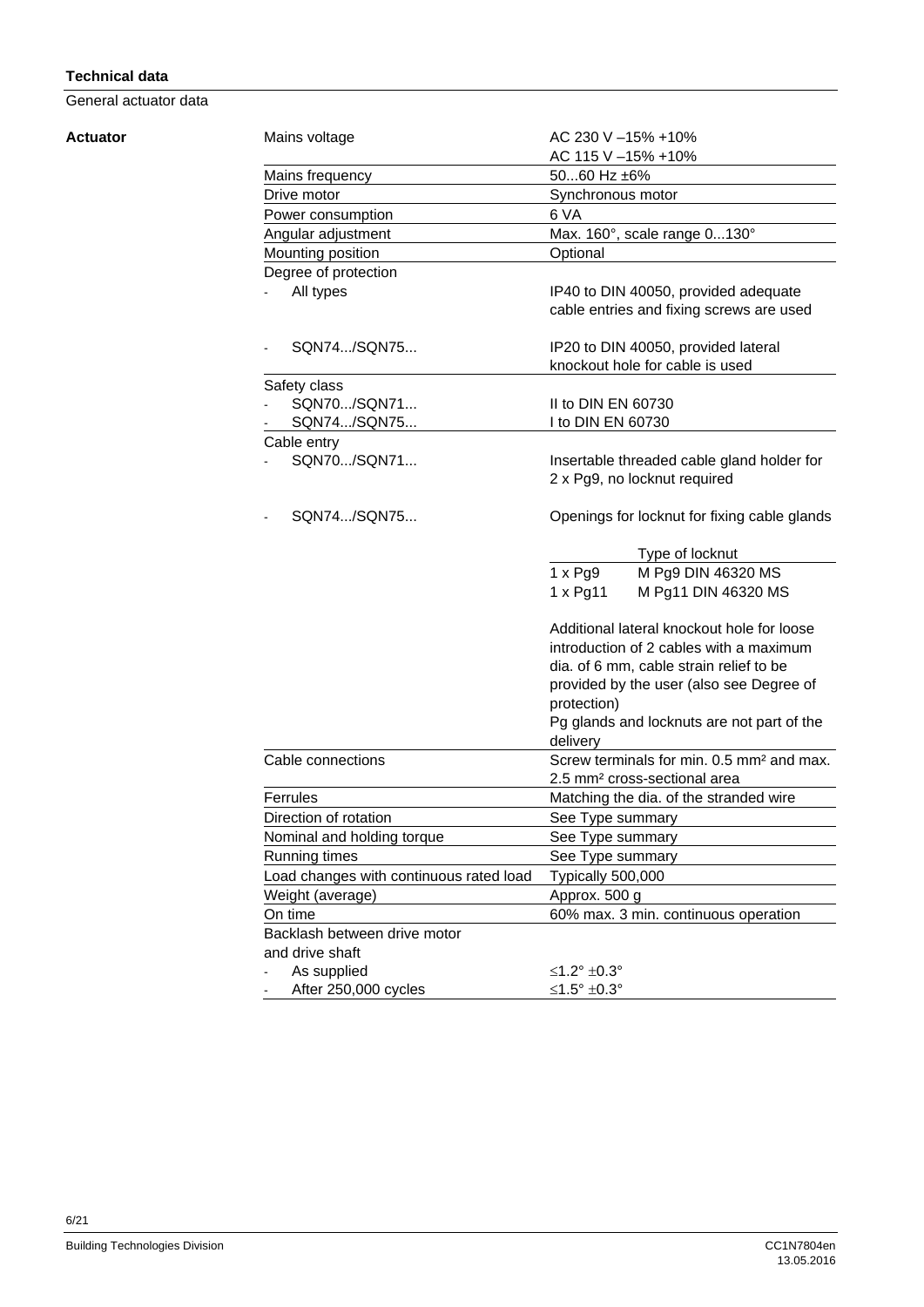#### **Technical data**

General actuator data

#### **Actuator**

| Mains voltage                           | AC 230 V -15% +10%                                    |  |  |  |
|-----------------------------------------|-------------------------------------------------------|--|--|--|
|                                         | AC 115 V - 15% + 10%                                  |  |  |  |
| Mains frequency                         | 5060 Hz ±6%                                           |  |  |  |
| Drive motor                             | Synchronous motor                                     |  |  |  |
| Power consumption                       | 6 VA                                                  |  |  |  |
| Angular adjustment                      | Max. 160°, scale range 0130°                          |  |  |  |
| Mounting position                       | Optional                                              |  |  |  |
| Degree of protection                    |                                                       |  |  |  |
| All types                               | IP40 to DIN 40050, provided adequate                  |  |  |  |
|                                         | cable entries and fixing screws are used              |  |  |  |
| SQN74/SQN75                             | IP20 to DIN 40050, provided lateral                   |  |  |  |
|                                         | knockout hole for cable is used                       |  |  |  |
| Safety class                            |                                                       |  |  |  |
| SQN70/SQN71                             | II to DIN EN 60730                                    |  |  |  |
| SQN74/SQN75                             | I to DIN EN 60730                                     |  |  |  |
| Cable entry                             |                                                       |  |  |  |
| SQN70/SQN71                             | Insertable threaded cable gland holder for            |  |  |  |
|                                         | 2 x Pg9, no locknut required                          |  |  |  |
|                                         |                                                       |  |  |  |
| SQN74/SQN75                             | Openings for locknut for fixing cable glands          |  |  |  |
|                                         | Type of locknut                                       |  |  |  |
|                                         | M Pg9 DIN 46320 MS<br>$1 \times Pg9$                  |  |  |  |
|                                         | $1 \times$ Pg11<br>M Pg11 DIN 46320 MS                |  |  |  |
|                                         | Additional lateral knockout hole for loose            |  |  |  |
|                                         | introduction of 2 cables with a maximum               |  |  |  |
|                                         | dia. of 6 mm, cable strain relief to be               |  |  |  |
|                                         | provided by the user (also see Degree of              |  |  |  |
|                                         | protection)                                           |  |  |  |
|                                         | Pg glands and locknuts are not part of the            |  |  |  |
|                                         | delivery                                              |  |  |  |
| Cable connections                       | Screw terminals for min. 0.5 mm <sup>2</sup> and max. |  |  |  |
|                                         | 2.5 mm <sup>2</sup> cross-sectional area              |  |  |  |
| Ferrules                                | Matching the dia. of the stranded wire                |  |  |  |
| Direction of rotation                   | See Type summary                                      |  |  |  |
| Nominal and holding torque              | See Type summary                                      |  |  |  |
| <b>Running times</b>                    | See Type summary                                      |  |  |  |
| Load changes with continuous rated load | Typically 500,000                                     |  |  |  |
| Weight (average)                        | Approx. 500 g                                         |  |  |  |
| On time                                 | 60% max. 3 min. continuous operation                  |  |  |  |
| Backlash between drive motor            |                                                       |  |  |  |
| and drive shaft                         |                                                       |  |  |  |
| As supplied                             | ≤1.2° ±0.3°                                           |  |  |  |
| After 250,000 cycles                    | ≤1.5° ±0.3°                                           |  |  |  |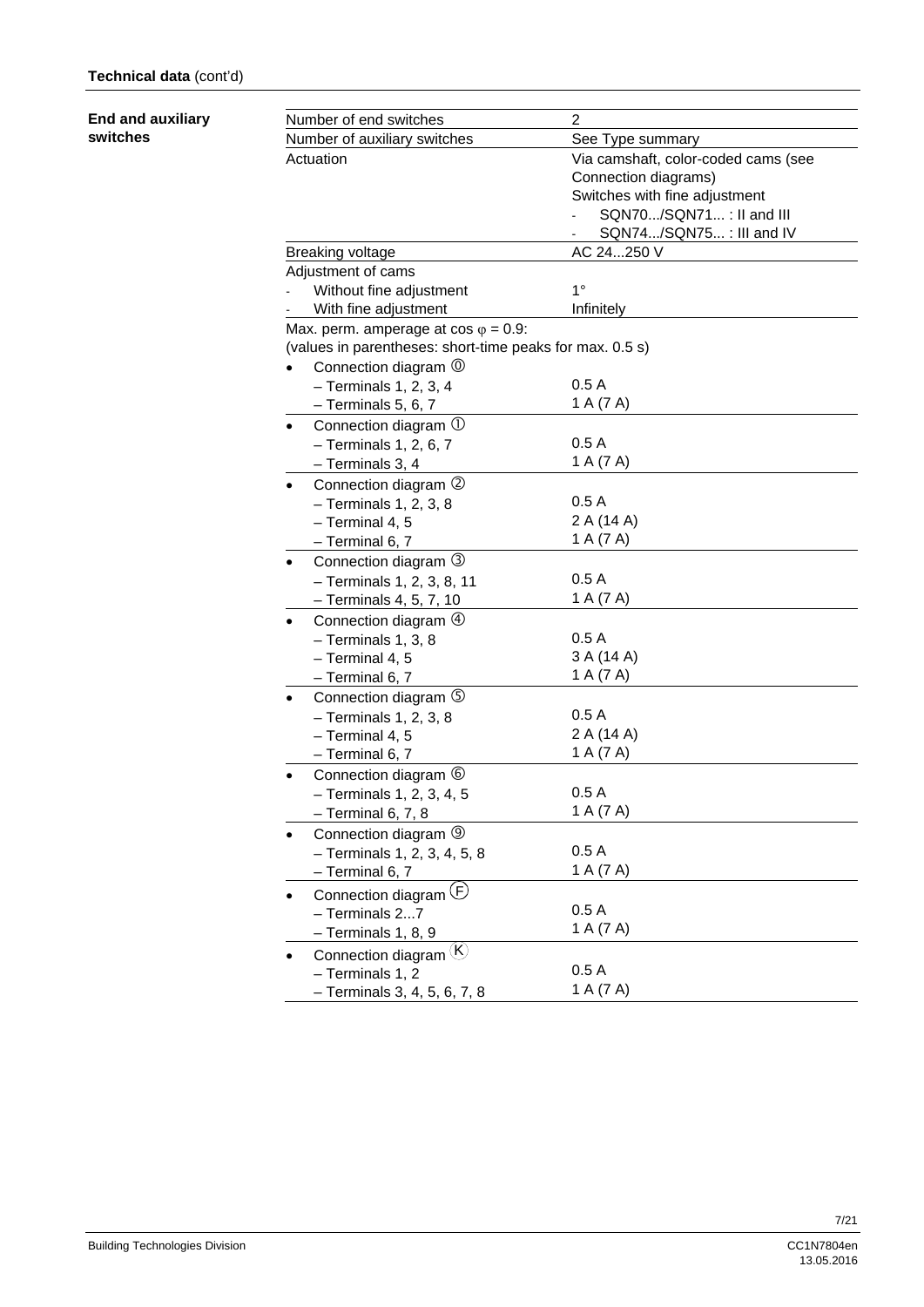#### **End and auxiliary switches**

| Number of end switches |                                                          | $\overline{2}$                      |  |  |
|------------------------|----------------------------------------------------------|-------------------------------------|--|--|
|                        | Number of auxiliary switches                             | See Type summary                    |  |  |
|                        | Actuation                                                | Via camshaft, color-coded cams (see |  |  |
|                        |                                                          | Connection diagrams)                |  |  |
|                        |                                                          | Switches with fine adjustment       |  |  |
|                        |                                                          | SQN70/SQN71: II and III             |  |  |
|                        |                                                          | SQN74/SQN75: III and IV             |  |  |
|                        | <b>Breaking voltage</b>                                  | AC 24250 V                          |  |  |
|                        | Adjustment of cams                                       |                                     |  |  |
|                        | Without fine adjustment                                  | $1^{\circ}$                         |  |  |
|                        | With fine adjustment                                     | Infinitely                          |  |  |
|                        | Max. perm. amperage at $cos \varphi = 0.9$ :             |                                     |  |  |
|                        | (values in parentheses: short-time peaks for max. 0.5 s) |                                     |  |  |
|                        | Connection diagram $\circledcirc$                        |                                     |  |  |
|                        | $-$ Terminals 1, 2, 3, 4                                 | 0.5A                                |  |  |
|                        | $-$ Terminals 5, 6, 7                                    | 1 A (7 A)                           |  |  |
| $\bullet$              | Connection diagram $\mathbb U$                           |                                     |  |  |
|                        | $-$ Terminals 1, 2, 6, 7                                 | 0.5A                                |  |  |
|                        | - Terminals 3, 4                                         | 1 A (7 A)                           |  |  |
| $\bullet$              | Connection diagram 2                                     |                                     |  |  |
|                        | $-$ Terminals 1, 2, 3, 8                                 | 0.5A                                |  |  |
|                        | - Terminal 4, 5                                          | 2 A (14 A)                          |  |  |
|                        | - Terminal 6, 7                                          | 1 A (7 A)                           |  |  |
| ٠                      | Connection diagram 3                                     |                                     |  |  |
|                        | - Terminals 1, 2, 3, 8, 11                               | 0.5A                                |  |  |
|                        | - Terminals 4, 5, 7, 10                                  | 1 A (7 A)                           |  |  |
|                        | Connection diagram $\Phi$                                |                                     |  |  |
|                        | - Terminals 1, 3, 8                                      | 0.5A                                |  |  |
|                        | - Terminal 4, 5                                          | 3 A (14 A)                          |  |  |
|                        | - Terminal 6, 7                                          | 1 A (7 A)                           |  |  |
| ٠                      | Connection diagram 5                                     |                                     |  |  |
|                        | $-$ Terminals 1, 2, 3, 8                                 | 0.5A                                |  |  |
|                        | - Terminal 4, 5                                          | 2 A (14 A)                          |  |  |
|                        | $-$ Terminal 6, 7                                        | 1 A (7 A)                           |  |  |
|                        | Connection diagram $\circledcirc$                        |                                     |  |  |
|                        | - Terminals 1, 2, 3, 4, 5                                | 0.5A                                |  |  |
|                        | $-$ Terminal 6, 7, 8                                     | 1 A (7 A)                           |  |  |
|                        | Connection diagram 9                                     |                                     |  |  |
|                        | - Terminals 1, 2, 3, 4, 5, 8                             | 0.5A                                |  |  |
|                        | - Terminal 6, 7                                          | 1 A (7 A)                           |  |  |
|                        | Connection diagram (F)                                   |                                     |  |  |
|                        |                                                          | 0.5A                                |  |  |
|                        | - Terminals 27                                           | 1 A (7 A)                           |  |  |
|                        | - Terminals 1, 8, 9                                      |                                     |  |  |
|                        | Connection diagram (K)                                   | 0.5A                                |  |  |
|                        | - Terminals 1, 2                                         |                                     |  |  |
|                        | - Terminals 3, 4, 5, 6, 7, 8                             | 1 A (7 A)                           |  |  |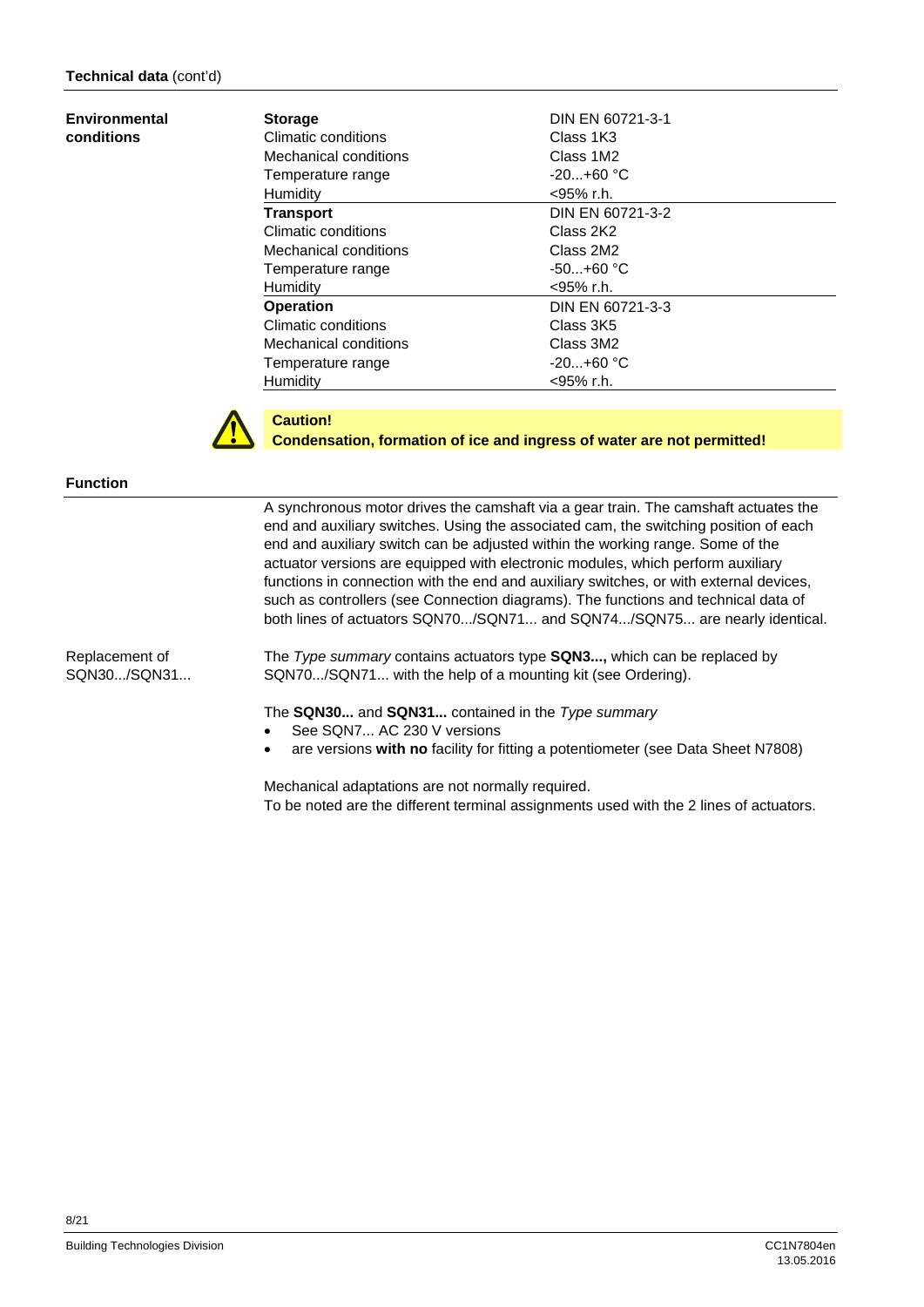#### **Environmental conditions**

| <b>Storage</b>        | DIN EN 60721-3-1 |
|-----------------------|------------------|
| Climatic conditions   | Class 1K3        |
| Mechanical conditions | Class 1M2        |
| Temperature range     | $-20+60$ °C      |
| Humidity              | $<$ 95% r.h.     |
| <b>Transport</b>      | DIN EN 60721-3-2 |
| Climatic conditions   | Class 2K2        |
| Mechanical conditions | Class 2M2        |
| Temperature range     | $-50+60$ °C      |
| Humidity              | $<$ 95% r.h.     |
| <b>Operation</b>      | DIN EN 60721-3-3 |
| Climatic conditions   | Class 3K5        |
| Mechanical conditions | Class 3M2        |
| Temperature range     | $-20+60 °C$      |
| Humidity              | <95% r.h.        |



#### **Caution!**

**Condensation, formation of ice and ingress of water are not permitted!** 

#### **Function**

Replacement of SQN30.../SQN31... A synchronous motor drives the camshaft via a gear train. The camshaft actuates the end and auxiliary switches. Using the associated cam, the switching position of each end and auxiliary switch can be adjusted within the working range. Some of the actuator versions are equipped with electronic modules, which perform auxiliary functions in connection with the end and auxiliary switches, or with external devices, such as controllers (see Connection diagrams). The functions and technical data of both lines of actuators SQN70.../SQN71... and SQN74.../SQN75... are nearly identical.

The *Type summary* contains actuators type **SQN3...,** which can be replaced by SQN70.../SQN71... with the help of a mounting kit (see Ordering).

The **SQN30...** and **SQN31...** contained in the *Type summary*

- See SQN7... AC 230 V versions
- are versions **with no** facility for fitting a potentiometer (see Data Sheet N7808)

Mechanical adaptations are not normally required. To be noted are the different terminal assignments used with the 2 lines of actuators.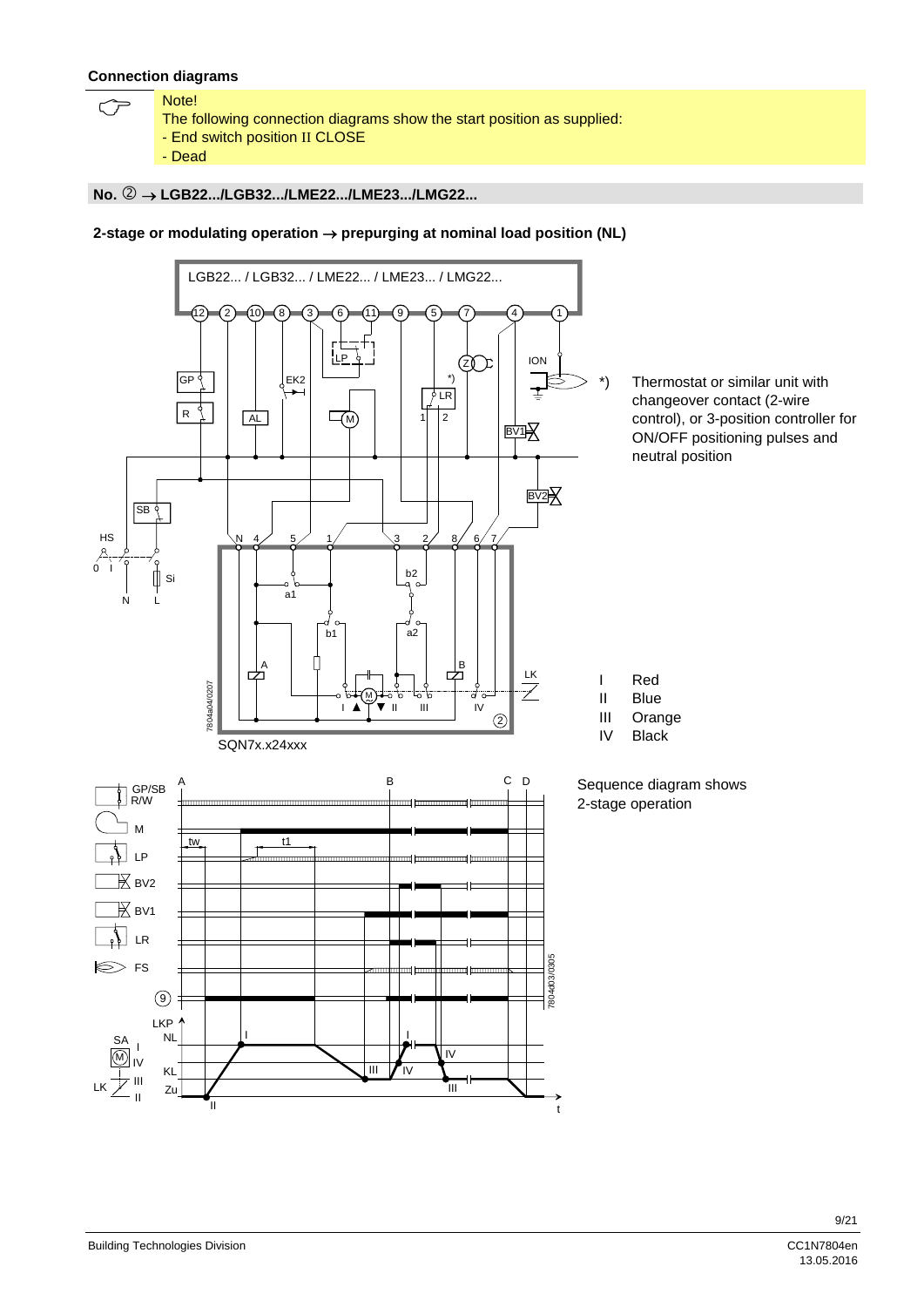#### **Connection diagrams**

- Note! The following connection diagrams show the start position as supplied:
	- End switch position II CLOSE
	- Dead

#### **No. LGB22.../LGB32.../LME22.../LME23.../LMG22...**

#### **2-stage or modulating operation prepurging at nominal load position (NL)**

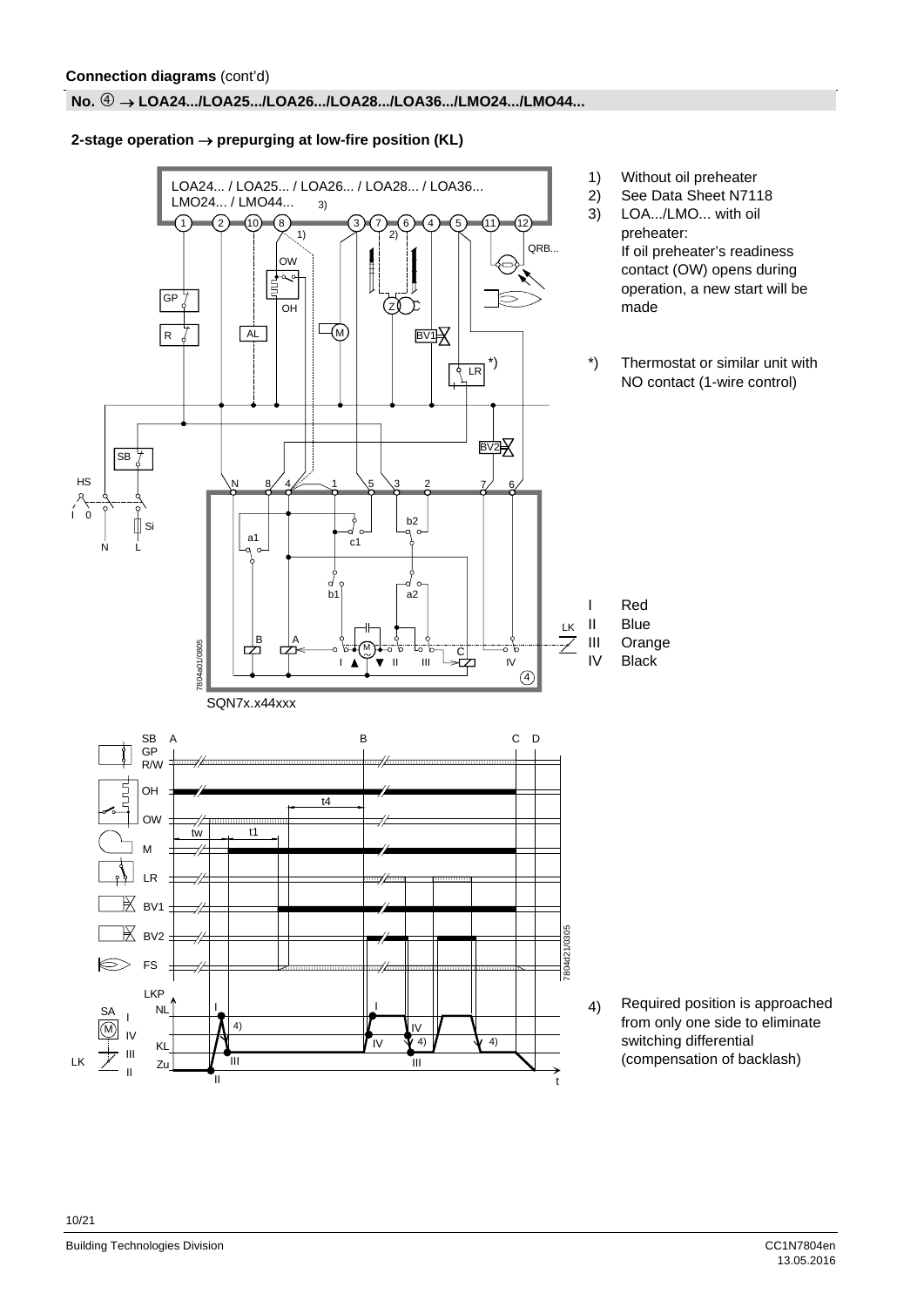#### **No. LOA24.../LOA25.../LOA26.../LOA28.../LOA36.../LMO24.../LMO44...**

#### $2$ -stage operation  $\rightarrow$  prepurging at low-fire position (KL)

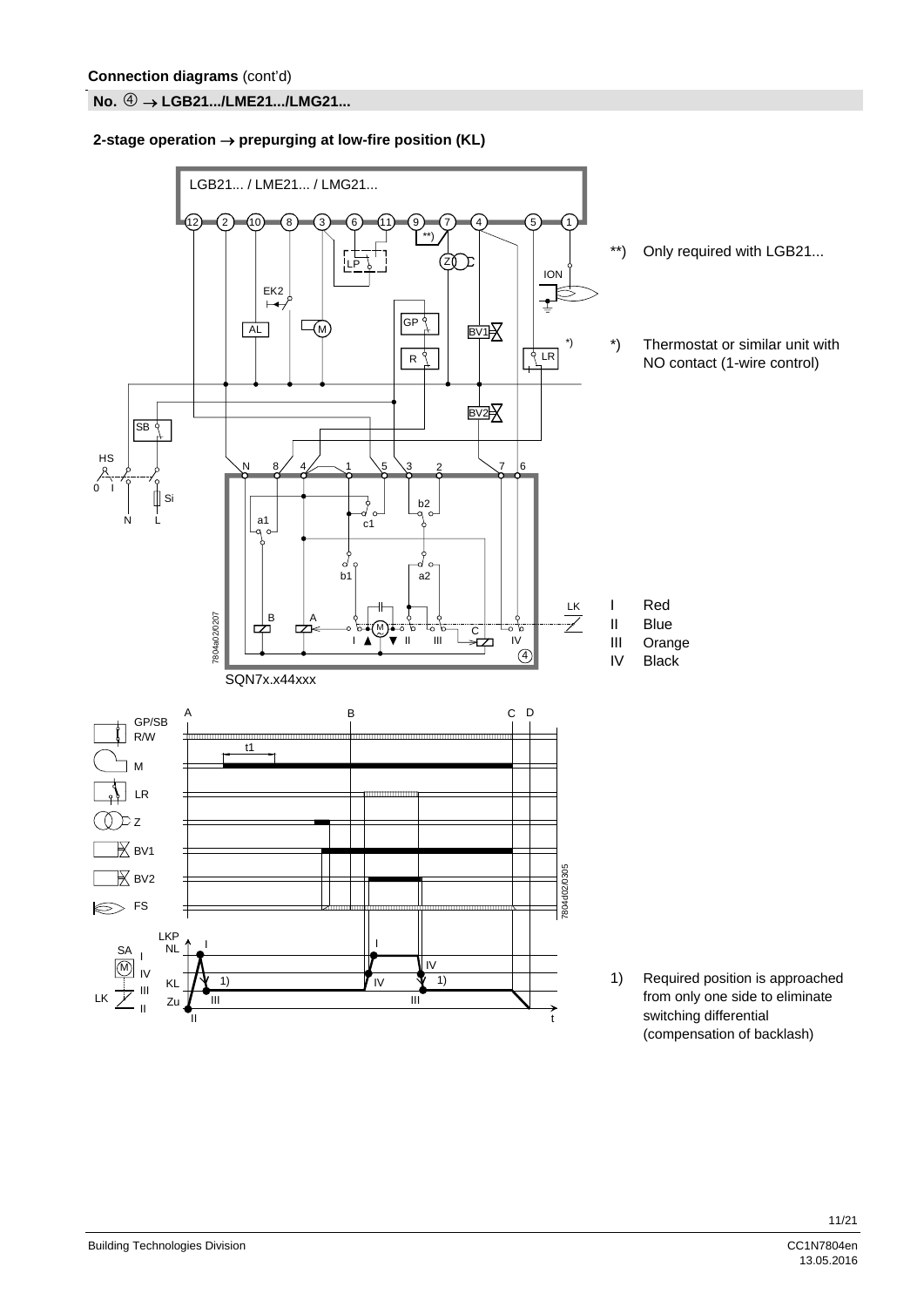**No.** ⊕ → LGB21.../LME21.../LMG21...

#### **2-stage operation prepurging at low-fire position (KL)**

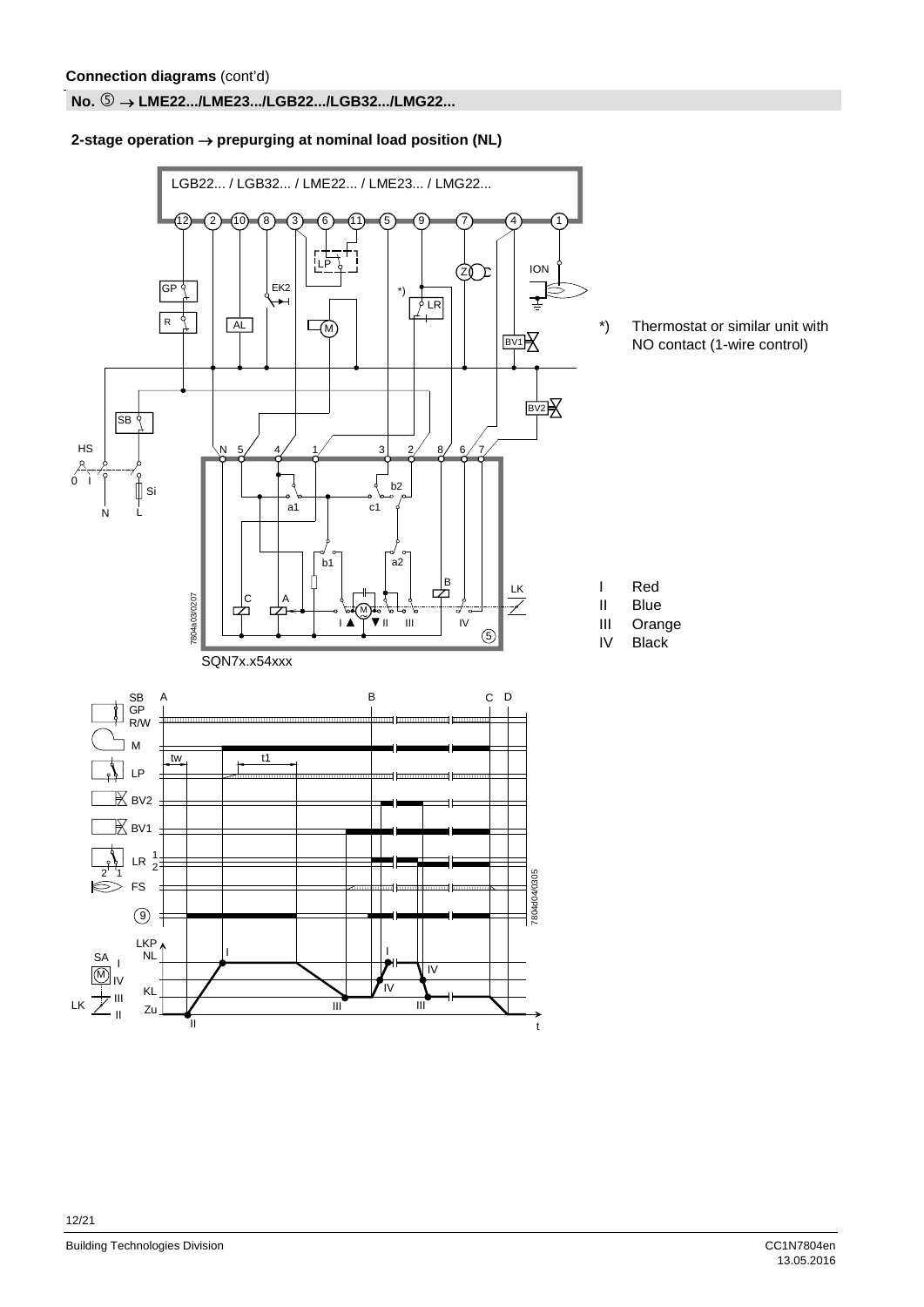#### **No. LME22.../LME23.../LGB22.../LGB32.../LMG22...**

#### $2$ -stage operation  $\rightarrow$  prepurging at nominal load position (NL)

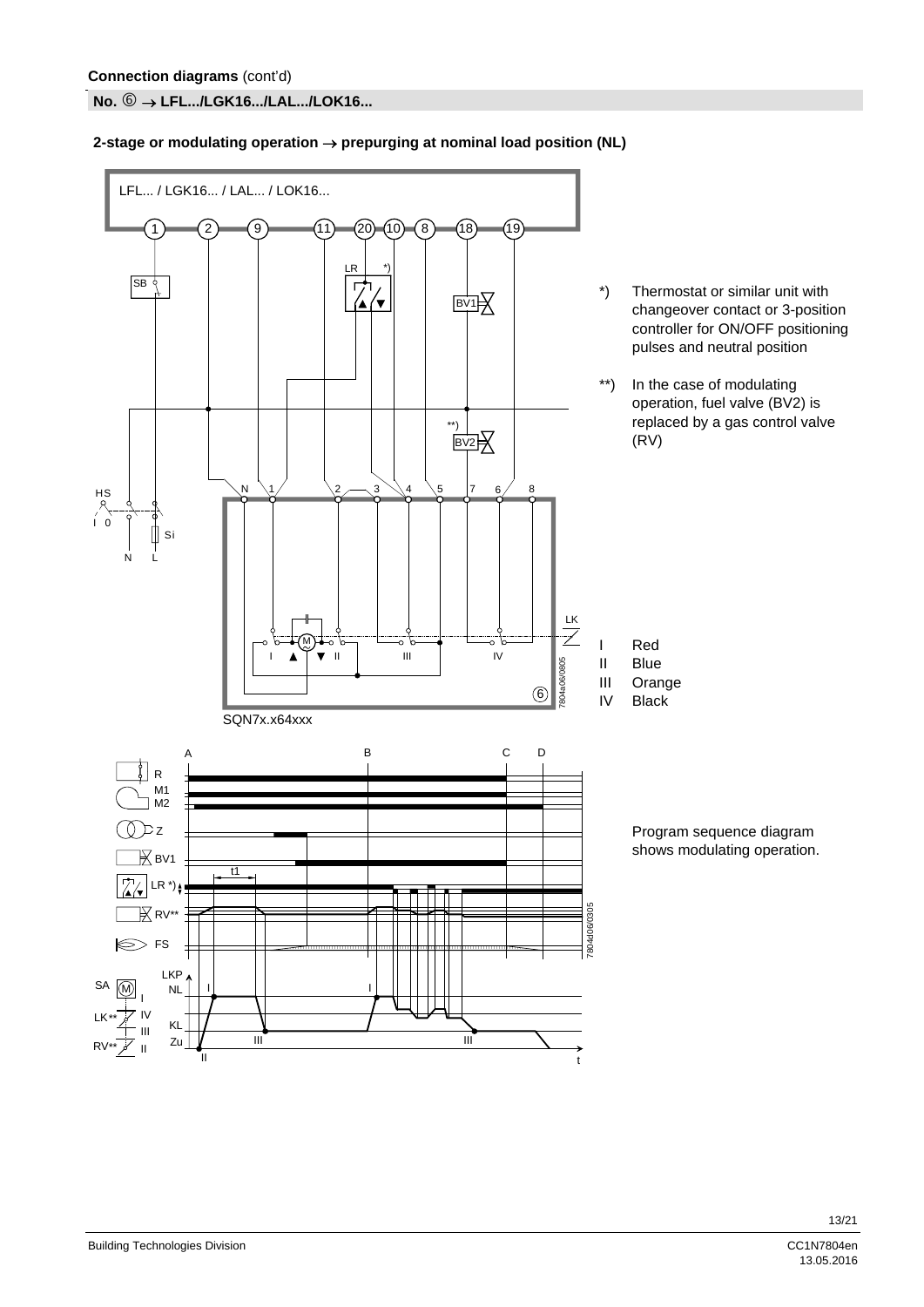**No. LFL.../LGK16.../LAL.../LOK16...** 

#### LFL... / LGK16... / LAL... / LOK16...  $(20)$   $(10)$   $(8)$   $(18)$ 1 2 9 11 8 19  $LR$ **SB**  $\overline{1}$ \*) Thermostat or similar unit with **BV1** ′∙ changeover contact or 3-position controller for ON/OFF positioning pulses and neutral position \*\*) In the case of modulating operation, fuel valve (BV2) is replaced by a gas control valve \*\*) (RV) BV2 HS N  $\setminus$ 1  $\setminus$ 2  $3 \searrow 4 \searrow 5$  |7 6 8 I 0 Si  $\overline{N}$ LK  $\overline{\mathscr{S}}$ M Red I  $\blacksquare$ 805 Blue II 7804a06/0805 Orange 804a06/ III 6 IV Black SQN7x.x64xxx C B C D A  $\vert$  R M1 M2  $\bigcirc$   $z$ Program sequence diagram shows modulating operation.  $\mathbb{K}$  BV1 t1 LR  $\overrightarrow{ }$   $\overrightarrow{ }$  $\overline{\mathbb{R}}$  RV\*\* 7804d06/0305 7804d06/0305 FS LKP, SA  $\binom{1}{k}$ NL I I I IV LK \*\* KL III III III

t

#### 2-stage or modulating operation → prepurging at nominal load position (NL)

II

RV

\*\*

Zu īı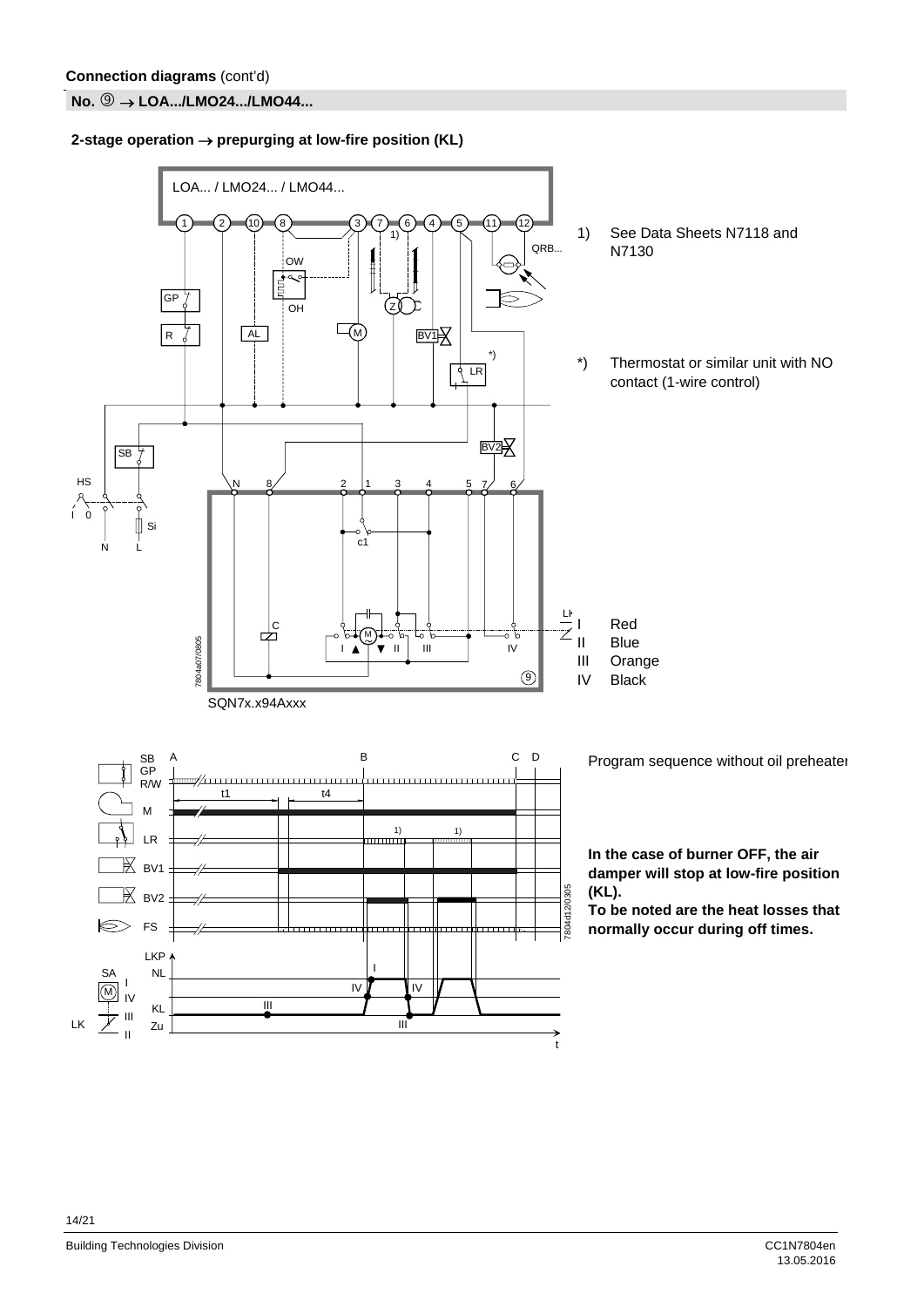**No. <sup>⑨</sup> → LOA.../LMO24.../LMO44...** 

**2-stage operation**  $\rightarrow$  **prepurging at low-fire position (KL)** 

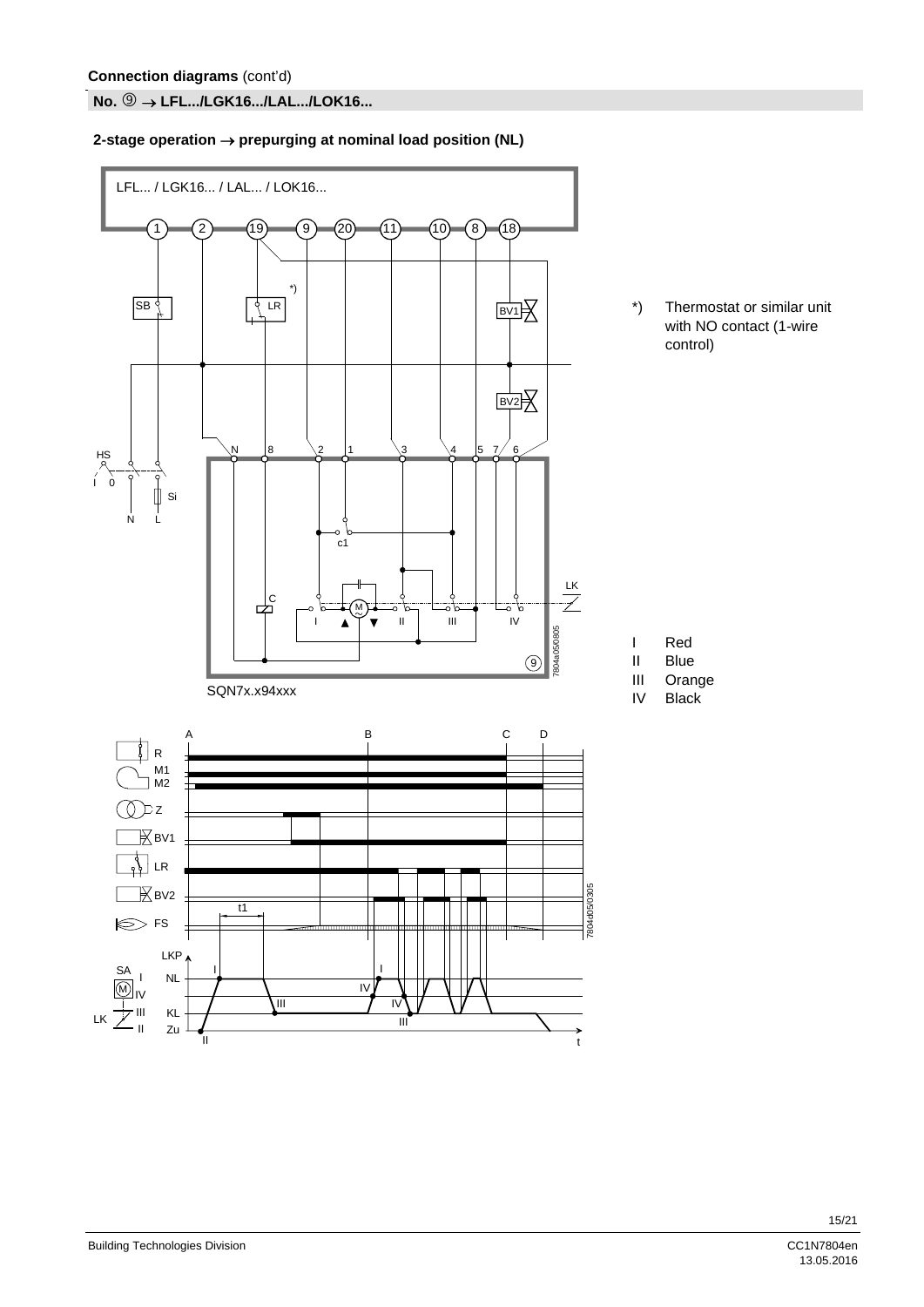**No. LFL.../LGK16.../LAL.../LOK16...** 

#### **2-stage operation prepurging at nominal load position (NL)**



13.05.2016

\*) Thermostat or similar unit with NO contact (1-wire control)

I Red

- II Blue
- III Orange
- IV Black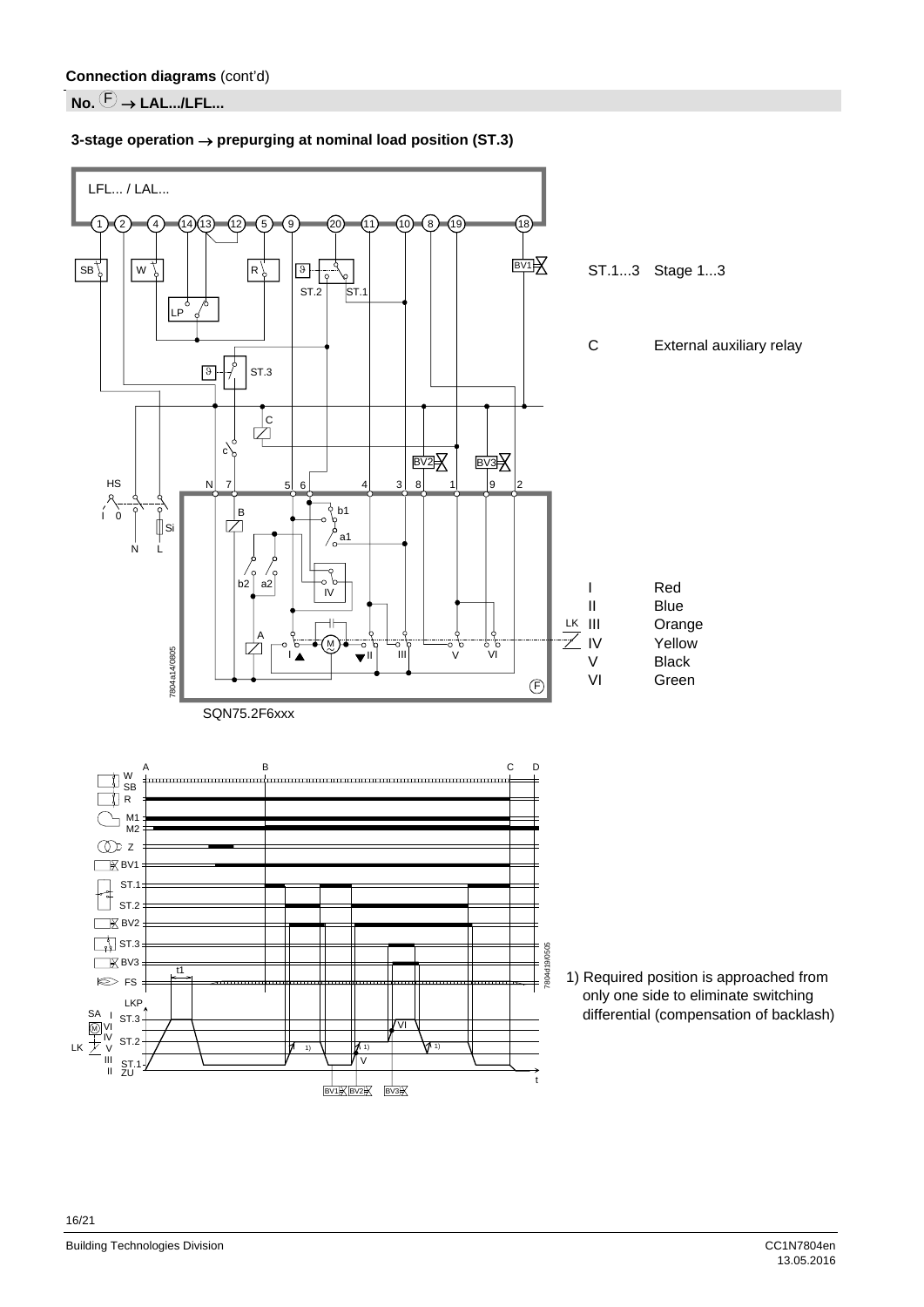### $\overline{\mathsf{No}}$ .  $\overline{\mathbb{C}}$   $\rightarrow$  LAL.../LFL...



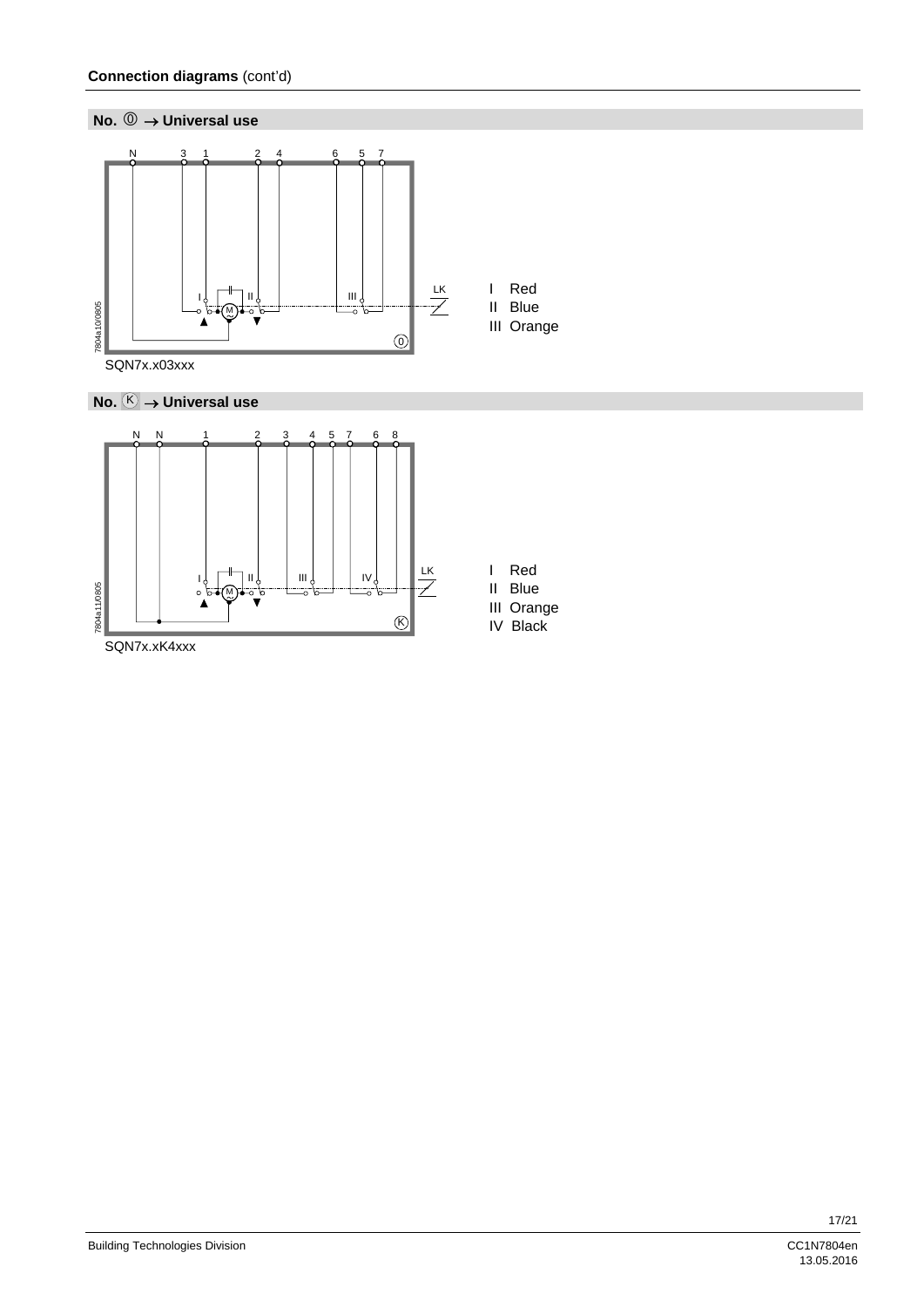







| ea |
|----|
|    |

- II Blue
- III Orange IV Black

Building Technologies Division CC1N7804en<br>13.05.2016 - 13.05.2016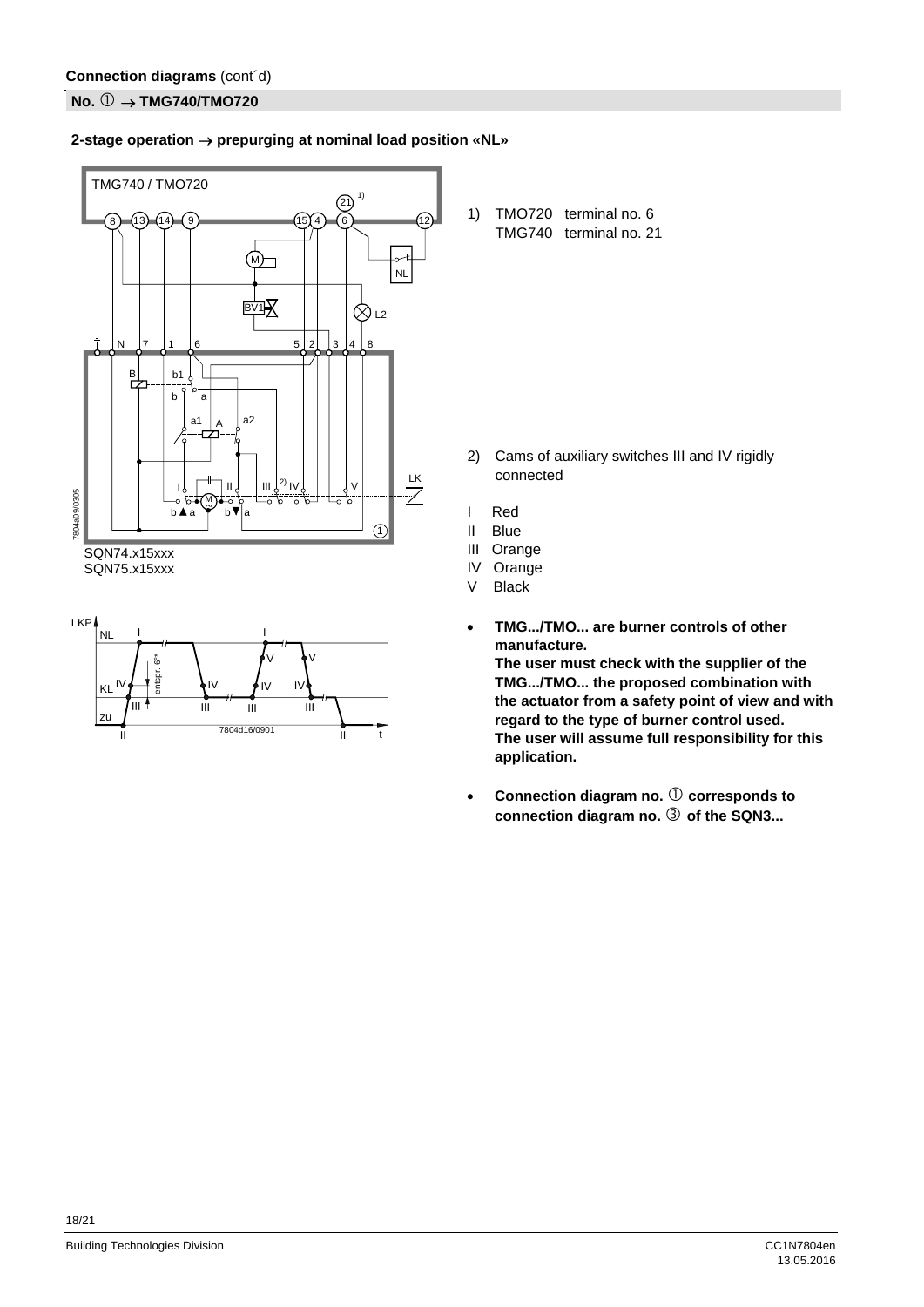#### **No. ① → TMG740/TMO720**

#### **2-stage operation prepurging at nominal load position «NL»**





1) TMO720 terminal no. 6 TMG740 terminal no. 21

- 2) Cams of auxiliary switches III and IV rigidly connected
- I Red
- II Blue
- III Orange
- IV Orange
- V Black
- **TMG.../TMO... are burner controls of other manufacture. The user must check with the supplier of the TMG.../TMO... the proposed combination with the actuator from a safety point of view and with regard to the type of burner control used. The user will assume full responsibility for this application.**
- **•** Connection diagram no.  $\textcircled{1}$  corresponds to connection diagram no.  $\circled{3}$  of the SQN3...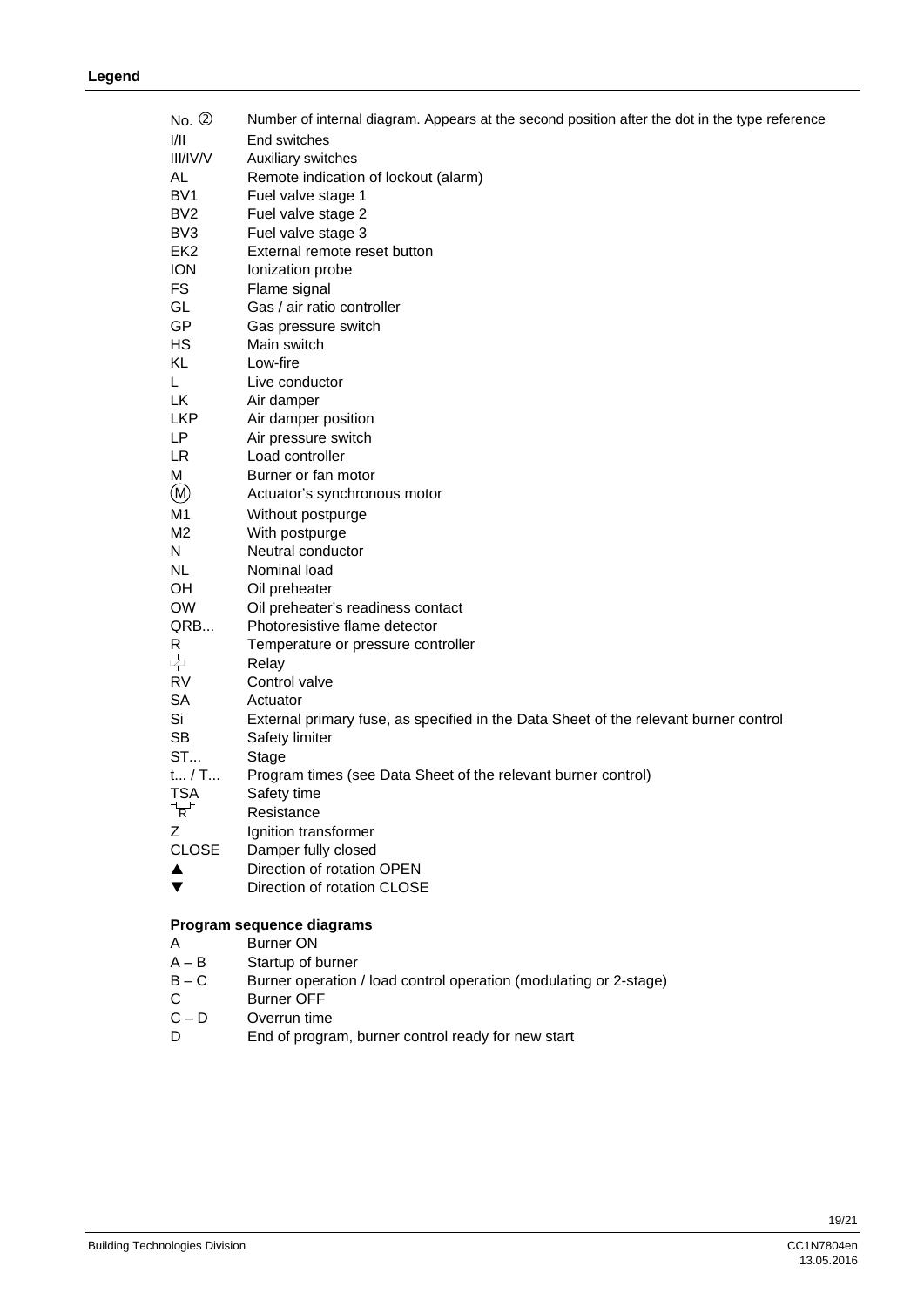| $No. \circled{2}$     | Number of internal diagram. Appears at the second position after the dot in the type reference |
|-----------------------|------------------------------------------------------------------------------------------------|
| I/II                  | End switches                                                                                   |
| <b>III/IV/V</b>       | Auxiliary switches                                                                             |
| AL                    | Remote indication of lockout (alarm)                                                           |
| BV <sub>1</sub>       | Fuel valve stage 1                                                                             |
| BV <sub>2</sub>       | Fuel valve stage 2                                                                             |
| BV <sub>3</sub>       | Fuel valve stage 3                                                                             |
| EK <sub>2</sub>       | External remote reset button                                                                   |
| <b>ION</b>            | Ionization probe                                                                               |
| <b>FS</b>             | Flame signal                                                                                   |
| GL                    | Gas / air ratio controller                                                                     |
| GP                    | Gas pressure switch                                                                            |
| HS                    | Main switch                                                                                    |
| KL.                   | Low-fire                                                                                       |
| L.                    | Live conductor                                                                                 |
| LK                    | Air damper                                                                                     |
| <b>LKP</b>            | Air damper position                                                                            |
| LP                    | Air pressure switch                                                                            |
| LR                    | Load controller                                                                                |
| M                     | Burner or fan motor                                                                            |
| (M)                   | Actuator's synchronous motor                                                                   |
| M1                    | Without postpurge                                                                              |
| M2                    | With postpurge                                                                                 |
| N                     | Neutral conductor                                                                              |
| <b>NL</b>             | Nominal load                                                                                   |
| OH.                   | Oil preheater                                                                                  |
| <b>OW</b>             | Oil preheater's readiness contact                                                              |
| QRB                   | Photoresistive flame detector                                                                  |
| R.                    | Temperature or pressure controller                                                             |
| \$                    | Relay                                                                                          |
| <b>RV</b>             | Control valve                                                                                  |
| <b>SA</b>             | Actuator                                                                                       |
| Si                    | External primary fuse, as specified in the Data Sheet of the relevant burner control           |
| <b>SB</b>             | Safety limiter                                                                                 |
| ST                    | Stage                                                                                          |
| $t_{}/T_{}$           | Program times (see Data Sheet of the relevant burner control)                                  |
| <b>T<sub>SA</sub></b> | Safety time                                                                                    |
| $\overline{R}$        | Resistance                                                                                     |
| Ζ                     | Ignition transformer                                                                           |
| <b>CLOSE</b>          | Damper fully closed                                                                            |
| ▲                     | Direction of rotation OPEN                                                                     |
| ▼                     | Direction of rotation CLOSE                                                                    |
|                       |                                                                                                |

#### **Program sequence diagrams**

- 
- A Burner ON<br>A B Startup of b Startup of burner
- B C Burner operation / load control operation (modulating or 2-stage)

13.05.2016

- C Burner OFF<br>C-D Overrun time
- C-D Overrun time<br>D End of progra
- End of program, burner control ready for new start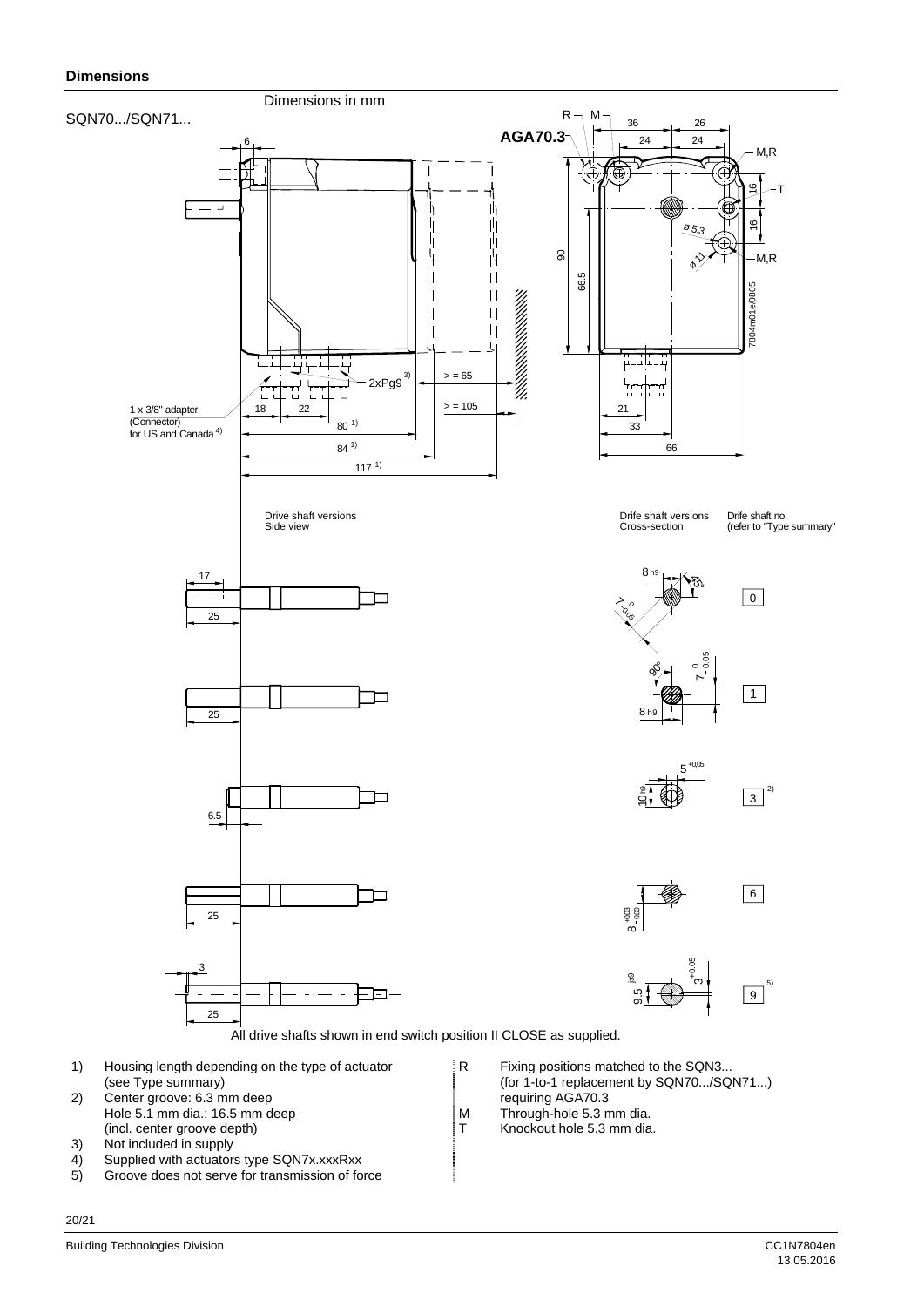#### **Dimensions**



- 2) Center groove: 6.3 mm deep requiring AGA70.3<br>
Hole 5.1 mm dia.: 16.5 mm deep M Through-hole 5.3 mm dia. Hole 5.1 mm dia.: 16.5 mm deep<br>
(incl. center groove depth) T
- (incl. center groove depth)  $\begin{array}{ccc} \hline \end{array}$  T Knockout hole 5.3 mm dia.<br>3) Not included in supply Not included in supply
- 4) Supplied with actuators type SQN7x.xxxRxx
- 5) Groove does not serve for transmission of force
- 
- 
-